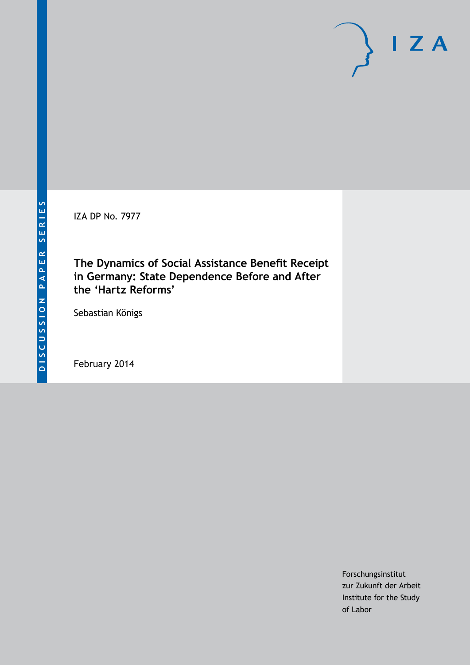IZA DP No. 7977

# **The Dynamics of Social Assistance Benefit Receipt in Germany: State Dependence Before and After the 'Hartz Reforms'**

Sebastian Königs

February 2014

Forschungsinstitut zur Zukunft der Arbeit Institute for the Study of Labor

 $I Z A$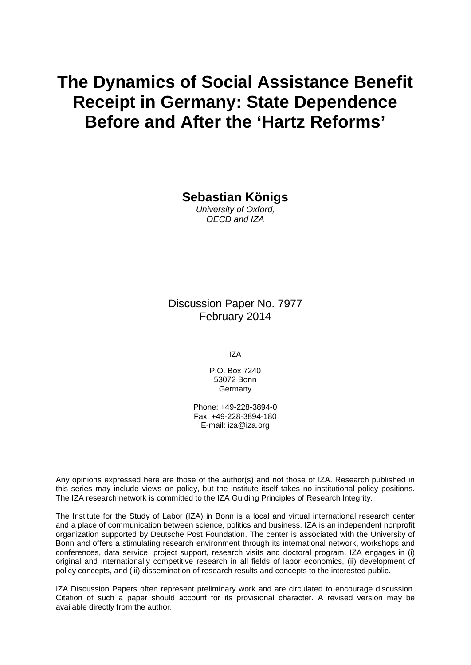# **The Dynamics of Social Assistance Benefit Receipt in Germany: State Dependence Before and After the 'Hartz Reforms'**

**Sebastian Königs**

*University of Oxford, OECD and IZA*

Discussion Paper No. 7977 February 2014

IZA

P.O. Box 7240 53072 Bonn **Germany** 

Phone: +49-228-3894-0 Fax: +49-228-3894-180 E-mail: [iza@iza.org](mailto:iza@iza.org)

Any opinions expressed here are those of the author(s) and not those of IZA. Research published in this series may include views on policy, but the institute itself takes no institutional policy positions. The IZA research network is committed to the IZA Guiding Principles of Research Integrity.

The Institute for the Study of Labor (IZA) in Bonn is a local and virtual international research center and a place of communication between science, politics and business. IZA is an independent nonprofit organization supported by Deutsche Post Foundation. The center is associated with the University of Bonn and offers a stimulating research environment through its international network, workshops and conferences, data service, project support, research visits and doctoral program. IZA engages in (i) original and internationally competitive research in all fields of labor economics, (ii) development of policy concepts, and (iii) dissemination of research results and concepts to the interested public.

IZA Discussion Papers often represent preliminary work and are circulated to encourage discussion. Citation of such a paper should account for its provisional character. A revised version may be available directly from the author.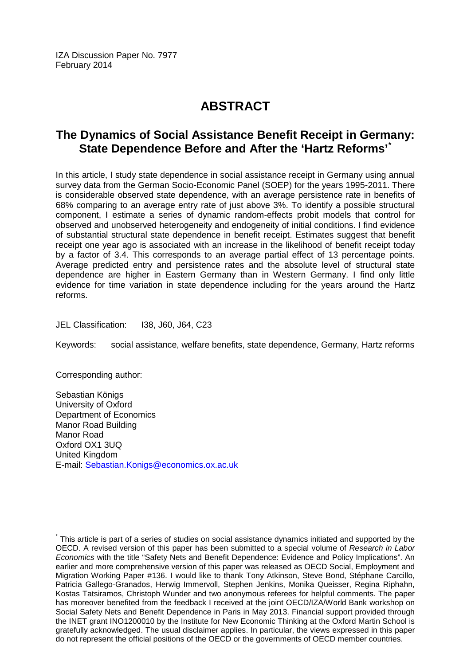IZA Discussion Paper No. 7977 February 2014

# **ABSTRACT**

# **The Dynamics of Social Assistance Benefit Receipt in Germany: State Dependence Before and After the 'Hartz Reforms'[\\*](#page-2-0)**

In this article, I study state dependence in social assistance receipt in Germany using annual survey data from the German Socio-Economic Panel (SOEP) for the years 1995-2011. There is considerable observed state dependence, with an average persistence rate in benefits of 68% comparing to an average entry rate of just above 3%. To identify a possible structural component, I estimate a series of dynamic random-effects probit models that control for observed and unobserved heterogeneity and endogeneity of initial conditions. I find evidence of substantial structural state dependence in benefit receipt. Estimates suggest that benefit receipt one year ago is associated with an increase in the likelihood of benefit receipt today by a factor of 3.4. This corresponds to an average partial effect of 13 percentage points. Average predicted entry and persistence rates and the absolute level of structural state dependence are higher in Eastern Germany than in Western Germany. I find only little evidence for time variation in state dependence including for the years around the Hartz reforms.

JEL Classification: I38, J60, J64, C23

Keywords: social assistance, welfare benefits, state dependence, Germany, Hartz reforms

Corresponding author:

Sebastian Königs University of Oxford Department of Economics Manor Road Building Manor Road Oxford OX1 3UQ United Kingdom E-mail: [Sebastian.Konigs@economics.ox.ac.uk](mailto:Sebastian.Konigs@economics.ox.ac.uk)

<span id="page-2-0"></span>This article is part of a series of studies on social assistance dynamics initiated and supported by the OECD. A revised version of this paper has been submitted to a special volume of *Research in Labor Economics* with the title "Safety Nets and Benefit Dependence: Evidence and Policy Implications". An earlier and more comprehensive version of this paper was released as OECD Social, Employment and Migration Working Paper #136. I would like to thank Tony Atkinson, Steve Bond, Stéphane Carcillo, Patricia Gallego-Granados, Herwig Immervoll, Stephen Jenkins, Monika Queisser, Regina Riphahn, Kostas Tatsiramos, Christoph Wunder and two anonymous referees for helpful comments. The paper has moreover benefited from the feedback I received at the joint OECD/IZA/World Bank workshop on Social Safety Nets and Benefit Dependence in Paris in May 2013. Financial support provided through the INET grant INO1200010 by the Institute for New Economic Thinking at the Oxford Martin School is gratefully acknowledged. The usual disclaimer applies. In particular, the views expressed in this paper do not represent the official positions of the OECD or the governments of OECD member countries.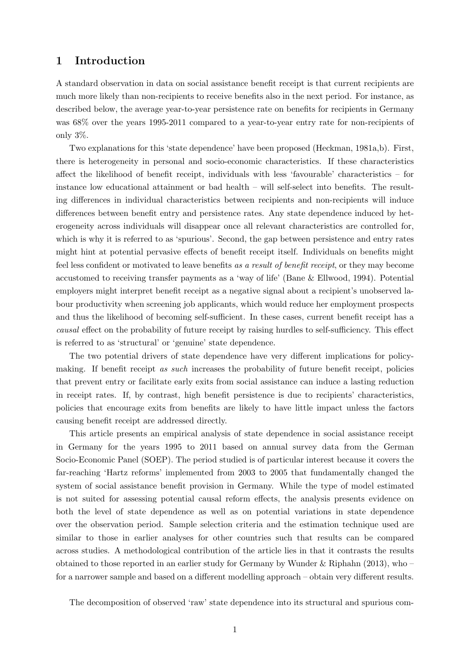# 1 Introduction

A standard observation in data on social assistance benefit receipt is that current recipients are much more likely than non-recipients to receive benefits also in the next period. For instance, as described below, the average year-to-year persistence rate on benefits for recipients in Germany was 68% over the years 1995-2011 compared to a year-to-year entry rate for non-recipients of only 3%.

Two explanations for this 'state dependence' have been proposed (Heckman, 1981a,b). First, there is heterogeneity in personal and socio-economic characteristics. If these characteristics affect the likelihood of benefit receipt, individuals with less 'favourable' characteristics – for instance low educational attainment or bad health – will self-select into benefits. The resulting differences in individual characteristics between recipients and non-recipients will induce differences between benefit entry and persistence rates. Any state dependence induced by heterogeneity across individuals will disappear once all relevant characteristics are controlled for, which is why it is referred to as 'spurious'. Second, the gap between persistence and entry rates might hint at potential pervasive effects of benefit receipt itself. Individuals on benefits might feel less confident or motivated to leave benefits as a result of benefit receipt, or they may become accustomed to receiving transfer payments as a 'way of life' (Bane & Ellwood, 1994). Potential employers might interpret benefit receipt as a negative signal about a recipient's unobserved labour productivity when screening job applicants, which would reduce her employment prospects and thus the likelihood of becoming self-sufficient. In these cases, current benefit receipt has a causal effect on the probability of future receipt by raising hurdles to self-sufficiency. This effect is referred to as 'structural' or 'genuine' state dependence.

The two potential drivers of state dependence have very different implications for policymaking. If benefit receipt as such increases the probability of future benefit receipt, policies that prevent entry or facilitate early exits from social assistance can induce a lasting reduction in receipt rates. If, by contrast, high benefit persistence is due to recipients' characteristics, policies that encourage exits from benefits are likely to have little impact unless the factors causing benefit receipt are addressed directly.

This article presents an empirical analysis of state dependence in social assistance receipt in Germany for the years 1995 to 2011 based on annual survey data from the German Socio-Economic Panel (SOEP). The period studied is of particular interest because it covers the far-reaching 'Hartz reforms' implemented from 2003 to 2005 that fundamentally changed the system of social assistance benefit provision in Germany. While the type of model estimated is not suited for assessing potential causal reform effects, the analysis presents evidence on both the level of state dependence as well as on potential variations in state dependence over the observation period. Sample selection criteria and the estimation technique used are similar to those in earlier analyses for other countries such that results can be compared across studies. A methodological contribution of the article lies in that it contrasts the results obtained to those reported in an earlier study for Germany by Wunder & Riphahn (2013), who – for a narrower sample and based on a different modelling approach – obtain very different results.

The decomposition of observed 'raw' state dependence into its structural and spurious com-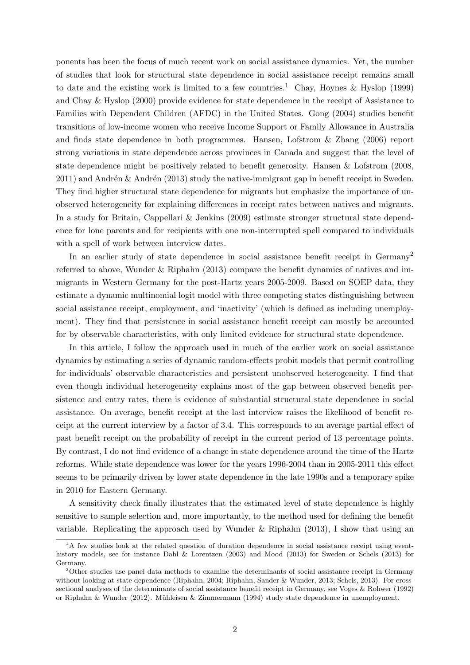ponents has been the focus of much recent work on social assistance dynamics. Yet, the number of studies that look for structural state dependence in social assistance receipt remains small to date and the existing work is limited to a few countries.<sup>1</sup> Chay, Hoynes & Hyslop (1999) and Chay & Hyslop (2000) provide evidence for state dependence in the receipt of Assistance to Families with Dependent Children (AFDC) in the United States. Gong (2004) studies benefit transitions of low-income women who receive Income Support or Family Allowance in Australia and finds state dependence in both programmes. Hansen, Lofstrom & Zhang (2006) report strong variations in state dependence across provinces in Canada and suggest that the level of state dependence might be positively related to benefit generosity. Hansen & Lofstrom (2008,  $2011$ ) and Andrén  $\&$  Andrén (2013) study the native-immigrant gap in benefit receipt in Sweden. They find higher structural state dependence for migrants but emphasize the importance of unobserved heterogeneity for explaining differences in receipt rates between natives and migrants. In a study for Britain, Cappellari & Jenkins (2009) estimate stronger structural state dependence for lone parents and for recipients with one non-interrupted spell compared to individuals with a spell of work between interview dates.

In an earlier study of state dependence in social assistance benefit receipt in Germany<sup>2</sup> referred to above, Wunder & Riphahn (2013) compare the benefit dynamics of natives and immigrants in Western Germany for the post-Hartz years 2005-2009. Based on SOEP data, they estimate a dynamic multinomial logit model with three competing states distinguishing between social assistance receipt, employment, and 'inactivity' (which is defined as including unemployment). They find that persistence in social assistance benefit receipt can mostly be accounted for by observable characteristics, with only limited evidence for structural state dependence.

In this article, I follow the approach used in much of the earlier work on social assistance dynamics by estimating a series of dynamic random-effects probit models that permit controlling for individuals' observable characteristics and persistent unobserved heterogeneity. I find that even though individual heterogeneity explains most of the gap between observed benefit persistence and entry rates, there is evidence of substantial structural state dependence in social assistance. On average, benefit receipt at the last interview raises the likelihood of benefit receipt at the current interview by a factor of 3.4. This corresponds to an average partial effect of past benefit receipt on the probability of receipt in the current period of 13 percentage points. By contrast, I do not find evidence of a change in state dependence around the time of the Hartz reforms. While state dependence was lower for the years 1996-2004 than in 2005-2011 this effect seems to be primarily driven by lower state dependence in the late 1990s and a temporary spike in 2010 for Eastern Germany.

A sensitivity check finally illustrates that the estimated level of state dependence is highly sensitive to sample selection and, more importantly, to the method used for defining the benefit variable. Replicating the approach used by Wunder & Riphahn  $(2013)$ , I show that using an

<sup>&</sup>lt;sup>1</sup>A few studies look at the related question of duration dependence in social assistance receipt using eventhistory models, see for instance Dahl & Lorentzen (2003) and Mood (2013) for Sweden or Schels (2013) for Germany.

<sup>&</sup>lt;sup>2</sup>Other studies use panel data methods to examine the determinants of social assistance receipt in Germany without looking at state dependence (Riphahn, 2004; Riphahn, Sander & Wunder, 2013; Schels, 2013). For crosssectional analyses of the determinants of social assistance benefit receipt in Germany, see Voges & Rohwer (1992) or Riphahn & Wunder (2012). Mühleisen & Zimmermann (1994) study state dependence in unemployment.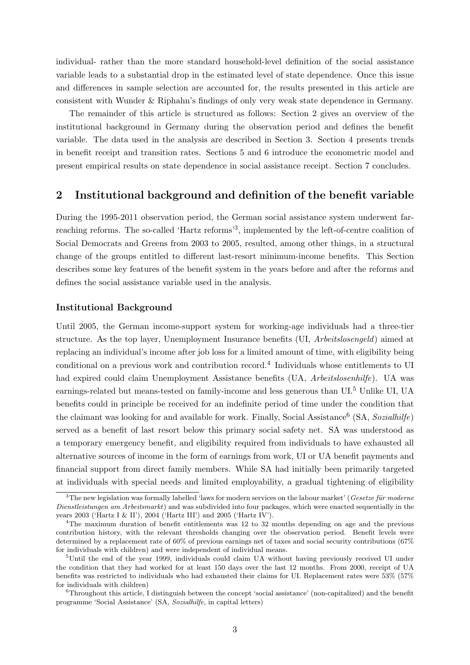individual- rather than the more standard household-level definition of the social assistance variable leads to a substantial drop in the estimated level of state dependence. Once this issue and differences in sample selection are accounted for, the results presented in this article are consistent with Wunder & Riphahn's findings of only very weak state dependence in Germany.

The remainder of this article is structured as follows: Section 2 gives an overview of the institutional background in Germany during the observation period and defines the benefit variable. The data used in the analysis are described in Section 3. Section 4 presents trends in benefit receipt and transition rates. Sections 5 and 6 introduce the econometric model and present empirical results on state dependence in social assistance receipt. Section 7 concludes.

## 2 Institutional background and definition of the benefit variable

During the 1995-2011 observation period, the German social assistance system underwent farreaching reforms. The so-called 'Hartz reforms'<sup>3</sup>, implemented by the left-of-centre coalition of Social Democrats and Greens from 2003 to 2005, resulted, among other things, in a structural change of the groups entitled to different last-resort minimum-income benefits. This Section describes some key features of the benefit system in the years before and after the reforms and defines the social assistance variable used in the analysis.

#### Institutional Background

Until 2005, the German income-support system for working-age individuals had a three-tier structure. As the top layer, Unemployment Insurance benefits (UI, Arbeitslosengeld) aimed at replacing an individual's income after job loss for a limited amount of time, with eligibility being conditional on a previous work and contribution record.<sup>4</sup> Individuals whose entitlements to UI had expired could claim Unemployment Assistance benefits (UA, Arbeitslosenhilfe). UA was earnings-related but means-tested on family-income and less generous than UI.<sup>5</sup> Unlike UI, UA benefits could in principle be received for an indefinite period of time under the condition that the claimant was looking for and available for work. Finally, Social Assistance<sup>6</sup> (SA, Sozialhilfe) served as a benefit of last resort below this primary social safety net. SA was understood as a temporary emergency benefit, and eligibility required from individuals to have exhausted all alternative sources of income in the form of earnings from work, UI or UA benefit payments and financial support from direct family members. While SA had initially been primarily targeted at individuals with special needs and limited employability, a gradual tightening of eligibility

 $3$ The new legislation was formally labelled 'laws for modern services on the labour market' (Gesetze für moderne Dienstleistungen am Arbeitsmarkt) and was subdivided into four packages, which were enacted sequentially in the years 2003 ('Hartz I & II'), 2004 ('Hartz III') and 2005 ('Hartz IV').

<sup>4</sup>The maximum duration of benefit entitlements was 12 to 32 months depending on age and the previous contribution history, with the relevant thresholds changing over the observation period. Benefit levels were determined by a replacement rate of 60% of previous earnings net of taxes and social security contributions (67% for individuals with children) and were independent of individual means.

<sup>5</sup>Until the end of the year 1999, individuals could claim UA without having previously received UI under the condition that they had worked for at least 150 days over the last 12 months. From 2000, receipt of UA benefits was restricted to individuals who had exhausted their claims for UI. Replacement rates were 53% (57% for individuals with children)

<sup>6</sup>Throughout this article, I distinguish between the concept 'social assistance' (non-capitalized) and the benefit programme 'Social Assistance' (SA, Sozialhilfe, in capital letters)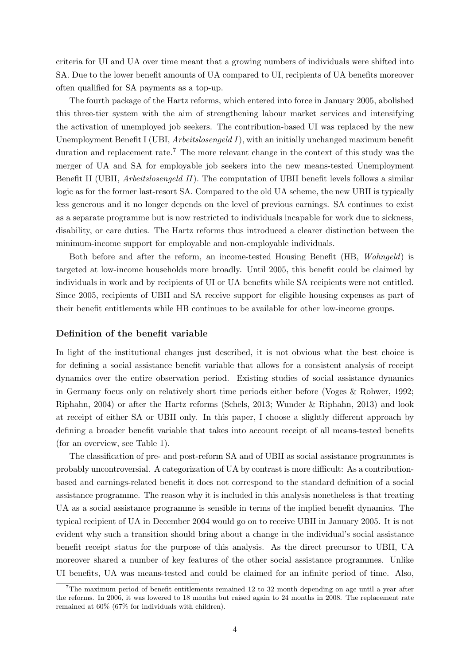criteria for UI and UA over time meant that a growing numbers of individuals were shifted into SA. Due to the lower benefit amounts of UA compared to UI, recipients of UA benefits moreover often qualified for SA payments as a top-up.

The fourth package of the Hartz reforms, which entered into force in January 2005, abolished this three-tier system with the aim of strengthening labour market services and intensifying the activation of unemployed job seekers. The contribution-based UI was replaced by the new Unemployment Benefit I (UBI, *Arbeitslosengeld I*), with an initially unchanged maximum benefit duration and replacement rate.<sup>7</sup> The more relevant change in the context of this study was the merger of UA and SA for employable job seekers into the new means-tested Unemployment Benefit II (UBII, Arbeitslosengeld II). The computation of UBII benefit levels follows a similar logic as for the former last-resort SA. Compared to the old UA scheme, the new UBII is typically less generous and it no longer depends on the level of previous earnings. SA continues to exist as a separate programme but is now restricted to individuals incapable for work due to sickness, disability, or care duties. The Hartz reforms thus introduced a clearer distinction between the minimum-income support for employable and non-employable individuals.

Both before and after the reform, an income-tested Housing Benefit (HB, Wohngeld) is targeted at low-income households more broadly. Until 2005, this benefit could be claimed by individuals in work and by recipients of UI or UA benefits while SA recipients were not entitled. Since 2005, recipients of UBII and SA receive support for eligible housing expenses as part of their benefit entitlements while HB continues to be available for other low-income groups.

#### Definition of the benefit variable

In light of the institutional changes just described, it is not obvious what the best choice is for defining a social assistance benefit variable that allows for a consistent analysis of receipt dynamics over the entire observation period. Existing studies of social assistance dynamics in Germany focus only on relatively short time periods either before (Voges & Rohwer, 1992; Riphahn, 2004) or after the Hartz reforms (Schels, 2013; Wunder & Riphahn, 2013) and look at receipt of either SA or UBII only. In this paper, I choose a slightly different approach by defining a broader benefit variable that takes into account receipt of all means-tested benefits (for an overview, see Table 1).

The classification of pre- and post-reform SA and of UBII as social assistance programmes is probably uncontroversial. A categorization of UA by contrast is more difficult: As a contributionbased and earnings-related benefit it does not correspond to the standard definition of a social assistance programme. The reason why it is included in this analysis nonetheless is that treating UA as a social assistance programme is sensible in terms of the implied benefit dynamics. The typical recipient of UA in December 2004 would go on to receive UBII in January 2005. It is not evident why such a transition should bring about a change in the individual's social assistance benefit receipt status for the purpose of this analysis. As the direct precursor to UBII, UA moreover shared a number of key features of the other social assistance programmes. Unlike UI benefits, UA was means-tested and could be claimed for an infinite period of time. Also,

<sup>7</sup>The maximum period of benefit entitlements remained 12 to 32 month depending on age until a year after the reforms. In 2006, it was lowered to 18 months but raised again to 24 months in 2008. The replacement rate remained at 60% (67% for individuals with children).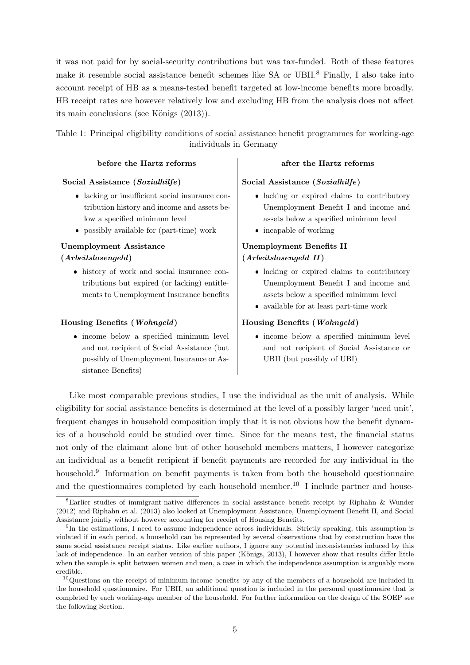it was not paid for by social-security contributions but was tax-funded. Both of these features make it resemble social assistance benefit schemes like SA or UBII.<sup>8</sup> Finally, I also take into account receipt of HB as a means-tested benefit targeted at low-income benefits more broadly. HB receipt rates are however relatively low and excluding HB from the analysis does not affect its main conclusions (see Königs  $(2013)$ ).

|  |  |                        | Table 1: Principal eligibility conditions of social assistance benefit programmes for working-age |  |  |
|--|--|------------------------|---------------------------------------------------------------------------------------------------|--|--|
|  |  | individuals in Germany |                                                                                                   |  |  |

| before the Hartz reforms                                                                                                                                                                                        | after the Hartz reforms                                                                                                                                                                     |
|-----------------------------------------------------------------------------------------------------------------------------------------------------------------------------------------------------------------|---------------------------------------------------------------------------------------------------------------------------------------------------------------------------------------------|
| Social Assistance (Sozialhilfe)<br>• lacking or insufficient social insurance con-<br>tribution history and income and assets be-<br>low a specified minimum level<br>• possibly available for (part-time) work | Social Assistance (Sozialhilfe)<br>• lacking or expired claims to contributory<br>Unemployment Benefit I and income and<br>assets below a specified minimum level<br>• incapable of working |
| <b>Unemployment Assistance</b>                                                                                                                                                                                  | <b>Unemployment Benefits II</b>                                                                                                                                                             |
| $(A \nref{reitslosengeld})$                                                                                                                                                                                     | $(A \n    The its los engeld II)$                                                                                                                                                           |
| • history of work and social insurance con-<br>tributions but expired (or lacking) entitle-<br>ments to Unemployment Insurance benefits                                                                         | • lacking or expired claims to contributory<br>Unemployment Benefit I and income and<br>assets below a specified minimum level<br>• available for at least part-time work                   |
| Housing Benefits (Wohngeld)                                                                                                                                                                                     | Housing Benefits (Wohngeld)                                                                                                                                                                 |
| • income below a specified minimum level<br>and not recipient of Social Assistance (but<br>possibly of Unemployment Insurance or As-<br>sistance Benefits)                                                      | • income below a specified minimum level<br>and not recipient of Social Assistance or<br>UBII (but possibly of UBI)                                                                         |
|                                                                                                                                                                                                                 | Like most comparable previous studies, I use the individual as the unit of analysis. While                                                                                                  |

eligibility for social assistance benefits is determined at the level of a possibly larger 'need unit', frequent changes in household composition imply that it is not obvious how the benefit dynamics of a household could be studied over time. Since for the means test, the financial status not only of the claimant alone but of other household members matters, I however categorize an individual as a benefit recipient if benefit payments are recorded for any individual in the household.<sup>9</sup> Information on benefit payments is taken from both the household questionnaire and the questionnaires completed by each household member.<sup>10</sup> I include partner and house-

<sup>8</sup>Earlier studies of immigrant-native differences in social assistance benefit receipt by Riphahn & Wunder (2012) and Riphahn et al. (2013) also looked at Unemployment Assistance, Unemployment Benefit II, and Social Assistance jointly without however accounting for receipt of Housing Benefits.

<sup>&</sup>lt;sup>9</sup>In the estimations, I need to assume independence across individuals. Strictly speaking, this assumption is violated if in each period, a household can be represented by several observations that by construction have the same social assistance receipt status. Like earlier authors, I ignore any potential inconsistencies induced by this lack of independence. In an earlier version of this paper (Königs, 2013), I however show that results differ little when the sample is split between women and men, a case in which the independence assumption is arguably more credible.

<sup>10</sup>Questions on the receipt of minimum-income benefits by any of the members of a household are included in the household questionnaire. For UBII, an additional question is included in the personal questionnaire that is completed by each working-age member of the household. For further information on the design of the SOEP see the following Section.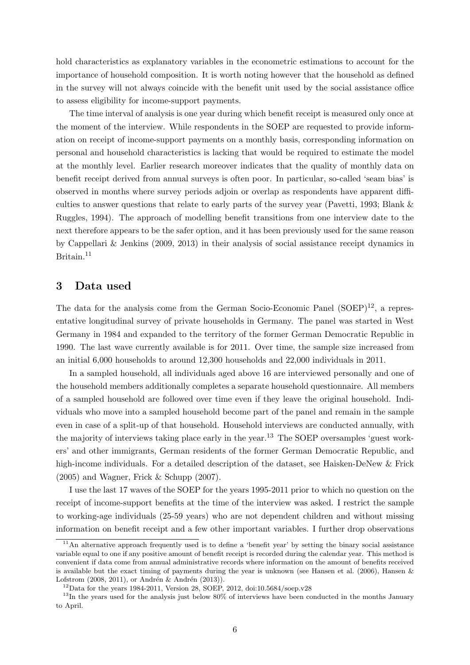hold characteristics as explanatory variables in the econometric estimations to account for the importance of household composition. It is worth noting however that the household as defined in the survey will not always coincide with the benefit unit used by the social assistance office to assess eligibility for income-support payments.

The time interval of analysis is one year during which benefit receipt is measured only once at the moment of the interview. While respondents in the SOEP are requested to provide information on receipt of income-support payments on a monthly basis, corresponding information on personal and household characteristics is lacking that would be required to estimate the model at the monthly level. Earlier research moreover indicates that the quality of monthly data on benefit receipt derived from annual surveys is often poor. In particular, so-called 'seam bias' is observed in months where survey periods adjoin or overlap as respondents have apparent difficulties to answer questions that relate to early parts of the survey year (Pavetti, 1993; Blank & Ruggles, 1994). The approach of modelling benefit transitions from one interview date to the next therefore appears to be the safer option, and it has been previously used for the same reason by Cappellari & Jenkins (2009, 2013) in their analysis of social assistance receipt dynamics in Britain.<sup>11</sup>

### 3 Data used

The data for the analysis come from the German Socio-Economic Panel  $(SOEP)^{12}$ , a representative longitudinal survey of private households in Germany. The panel was started in West Germany in 1984 and expanded to the territory of the former German Democratic Republic in 1990. The last wave currently available is for 2011. Over time, the sample size increased from an initial 6,000 households to around 12,300 households and 22,000 individuals in 2011.

In a sampled household, all individuals aged above 16 are interviewed personally and one of the household members additionally completes a separate household questionnaire. All members of a sampled household are followed over time even if they leave the original household. Individuals who move into a sampled household become part of the panel and remain in the sample even in case of a split-up of that household. Household interviews are conducted annually, with the majority of interviews taking place early in the year.<sup>13</sup> The SOEP oversamples 'guest workers' and other immigrants, German residents of the former German Democratic Republic, and high-income individuals. For a detailed description of the dataset, see Haisken-DeNew & Frick (2005) and Wagner, Frick & Schupp (2007).

I use the last 17 waves of the SOEP for the years 1995-2011 prior to which no question on the receipt of income-support benefits at the time of the interview was asked. I restrict the sample to working-age individuals (25-59 years) who are not dependent children and without missing information on benefit receipt and a few other important variables. I further drop observations

 $11$ An alternative approach frequently used is to define a 'benefit year' by setting the binary social assistance variable equal to one if any positive amount of benefit receipt is recorded during the calendar year. This method is convenient if data come from annual administrative records where information on the amount of benefits received is available but the exact timing of payments during the year is unknown (see Hansen et al. (2006), Hansen & Lofstrom  $(2008, 2011)$ , or Andrén & Andrén  $(2013)$ ).

 $12$ Data for the years 1984-2011, Version 28, SOEP, 2012, doi:10.5684/soep.v28

<sup>&</sup>lt;sup>13</sup>In the years used for the analysis just below 80% of interviews have been conducted in the months January to April.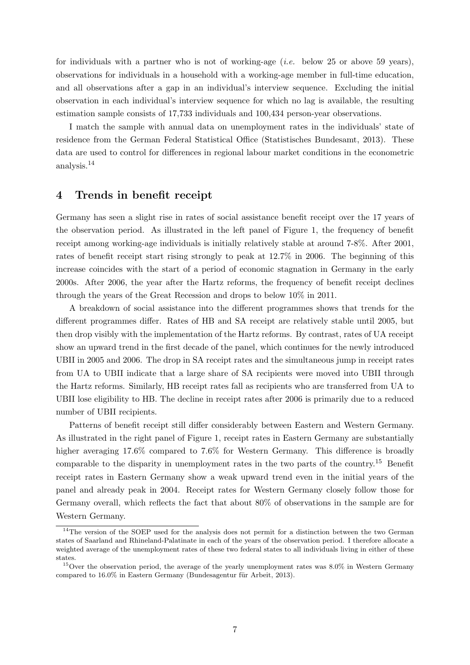for individuals with a partner who is not of working-age (*i.e.* below 25 or above 59 years), observations for individuals in a household with a working-age member in full-time education, and all observations after a gap in an individual's interview sequence. Excluding the initial observation in each individual's interview sequence for which no lag is available, the resulting estimation sample consists of 17,733 individuals and 100,434 person-year observations.

I match the sample with annual data on unemployment rates in the individuals' state of residence from the German Federal Statistical Office (Statistisches Bundesamt, 2013). These data are used to control for differences in regional labour market conditions in the econometric analysis.<sup>14</sup>

### 4 Trends in benefit receipt

Germany has seen a slight rise in rates of social assistance benefit receipt over the 17 years of the observation period. As illustrated in the left panel of Figure 1, the frequency of benefit receipt among working-age individuals is initially relatively stable at around 7-8%. After 2001, rates of benefit receipt start rising strongly to peak at 12.7% in 2006. The beginning of this increase coincides with the start of a period of economic stagnation in Germany in the early 2000s. After 2006, the year after the Hartz reforms, the frequency of benefit receipt declines through the years of the Great Recession and drops to below 10% in 2011.

A breakdown of social assistance into the different programmes shows that trends for the different programmes differ. Rates of HB and SA receipt are relatively stable until 2005, but then drop visibly with the implementation of the Hartz reforms. By contrast, rates of UA receipt show an upward trend in the first decade of the panel, which continues for the newly introduced UBII in 2005 and 2006. The drop in SA receipt rates and the simultaneous jump in receipt rates from UA to UBII indicate that a large share of SA recipients were moved into UBII through the Hartz reforms. Similarly, HB receipt rates fall as recipients who are transferred from UA to UBII lose eligibility to HB. The decline in receipt rates after 2006 is primarily due to a reduced number of UBII recipients.

Patterns of benefit receipt still differ considerably between Eastern and Western Germany. As illustrated in the right panel of Figure 1, receipt rates in Eastern Germany are substantially higher averaging 17.6% compared to 7.6% for Western Germany. This difference is broadly comparable to the disparity in unemployment rates in the two parts of the country.<sup>15</sup> Benefit receipt rates in Eastern Germany show a weak upward trend even in the initial years of the panel and already peak in 2004. Receipt rates for Western Germany closely follow those for Germany overall, which reflects the fact that about 80% of observations in the sample are for Western Germany.

<sup>&</sup>lt;sup>14</sup>The version of the SOEP used for the analysis does not permit for a distinction between the two German states of Saarland and Rhineland-Palatinate in each of the years of the observation period. I therefore allocate a weighted average of the unemployment rates of these two federal states to all individuals living in either of these states.

<sup>&</sup>lt;sup>15</sup>Over the observation period, the average of the yearly unemployment rates was 8.0% in Western Germany compared to  $16.0\%$  in Eastern Germany (Bundesagentur für Arbeit, 2013).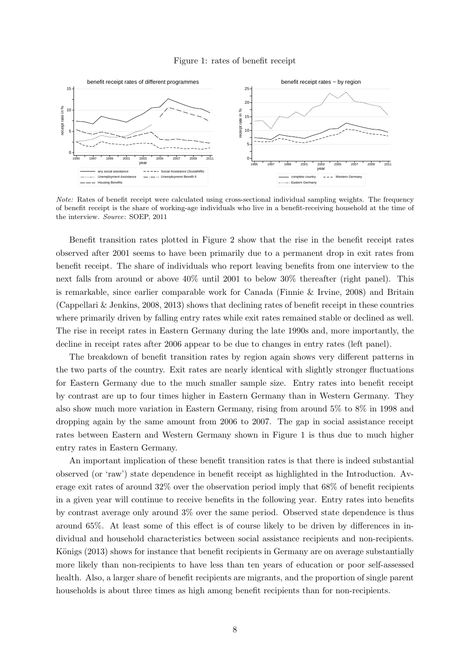#### Figure 1: rates of benefit receipt



Note: Rates of benefit receipt were calculated using cross-sectional individual sampling weights. The frequency of benefit receipt is the share of working-age individuals who live in a benefit-receiving household at the time of the interview. Source: SOEP, 2011

Benefit transition rates plotted in Figure 2 show that the rise in the benefit receipt rates observed after 2001 seems to have been primarily due to a permanent drop in exit rates from benefit receipt. The share of individuals who report leaving benefits from one interview to the next falls from around or above 40% until 2001 to below 30% thereafter (right panel). This is remarkable, since earlier comparable work for Canada (Finnie & Irvine, 2008) and Britain (Cappellari & Jenkins, 2008, 2013) shows that declining rates of benefit receipt in these countries where primarily driven by falling entry rates while exit rates remained stable or declined as well. The rise in receipt rates in Eastern Germany during the late 1990s and, more importantly, the decline in receipt rates after 2006 appear to be due to changes in entry rates (left panel).

The breakdown of benefit transition rates by region again shows very different patterns in the two parts of the country. Exit rates are nearly identical with slightly stronger fluctuations for Eastern Germany due to the much smaller sample size. Entry rates into benefit receipt by contrast are up to four times higher in Eastern Germany than in Western Germany. They also show much more variation in Eastern Germany, rising from around 5% to 8% in 1998 and dropping again by the same amount from 2006 to 2007. The gap in social assistance receipt rates between Eastern and Western Germany shown in Figure 1 is thus due to much higher entry rates in Eastern Germany.

An important implication of these benefit transition rates is that there is indeed substantial observed (or 'raw') state dependence in benefit receipt as highlighted in the Introduction. Average exit rates of around 32% over the observation period imply that 68% of benefit recipients in a given year will continue to receive benefits in the following year. Entry rates into benefits by contrast average only around 3% over the same period. Observed state dependence is thus around 65%. At least some of this effect is of course likely to be driven by differences in individual and household characteristics between social assistance recipients and non-recipients. Königs (2013) shows for instance that benefit recipients in Germany are on average substantially more likely than non-recipients to have less than ten years of education or poor self-assessed health. Also, a larger share of benefit recipients are migrants, and the proportion of single parent households is about three times as high among benefit recipients than for non-recipients.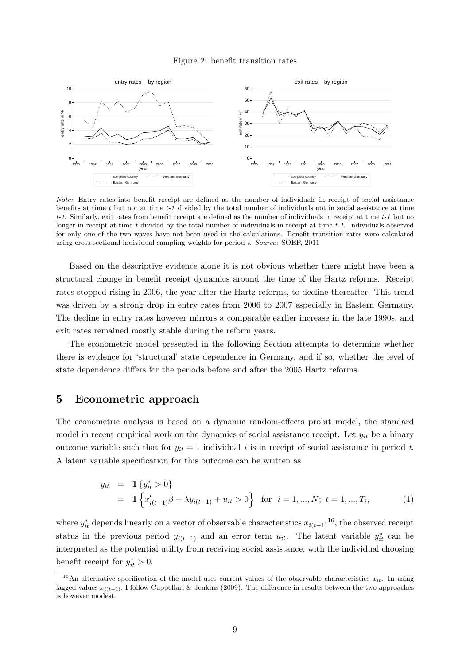#### Figure 2: benefit transition rates



Note: Entry rates into benefit receipt are defined as the number of individuals in receipt of social assistance benefits at time t but not at time  $t-1$  divided by the total number of individuals not in social assistance at time  $t-1$ . Similarly, exit rates from benefit receipt are defined as the number of individuals in receipt at time  $t-1$  but no longer in receipt at time  $t$  divided by the total number of individuals in receipt at time  $t-1$ . Individuals observed for only one of the two waves have not been used in the calculations. Benefit transition rates were calculated using cross-sectional individual sampling weights for period t. Source: SOEP, 2011

Based on the descriptive evidence alone it is not obvious whether there might have been a structural change in benefit receipt dynamics around the time of the Hartz reforms. Receipt rates stopped rising in 2006, the year after the Hartz reforms, to decline thereafter. This trend was driven by a strong drop in entry rates from 2006 to 2007 especially in Eastern Germany. The decline in entry rates however mirrors a comparable earlier increase in the late 1990s, and exit rates remained mostly stable during the reform years.

The econometric model presented in the following Section attempts to determine whether there is evidence for 'structural' state dependence in Germany, and if so, whether the level of state dependence differs for the periods before and after the 2005 Hartz reforms.

# 5 Econometric approach

The econometric analysis is based on a dynamic random-effects probit model, the standard model in recent empirical work on the dynamics of social assistance receipt. Let  $y_{it}$  be a binary outcome variable such that for  $y_{it} = 1$  individual i is in receipt of social assistance in period t. A latent variable specification for this outcome can be written as

$$
y_{it} = 1 \{ y_{it}^{*} > 0 \}
$$
  
= 1 \{ x'\_{i(t-1)} \beta + \lambda y\_{i(t-1)} + u\_{it} > 0 \} for  $i = 1, ..., N; t = 1, ..., T_i,$  (1)

where  $y_{it}^*$  depends linearly on a vector of observable characteristics  $x_{i(t-1)}^{16}$ , the observed receipt status in the previous period  $y_{i(t-1)}$  and an error term  $u_{it}$ . The latent variable  $y_{it}^*$  can be interpreted as the potential utility from receiving social assistance, with the individual choosing benefit receipt for  $y_{it}^* > 0$ .

<sup>&</sup>lt;sup>16</sup>An alternative specification of the model uses current values of the observable characteristics  $x_{it}$ . In using lagged values  $x_{i(t-1)}$ , I follow Cappellari & Jenkins (2009). The difference in results between the two approaches is however modest.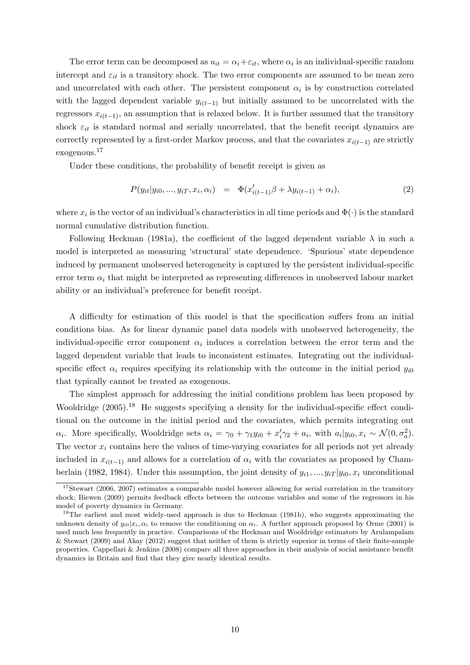The error term can be decomposed as  $u_{it} = \alpha_i + \varepsilon_{it}$ , where  $\alpha_i$  is an individual-specific random intercept and  $\varepsilon_{it}$  is a transitory shock. The two error components are assumed to be mean zero and uncorrelated with each other. The persistent component  $\alpha_i$  is by construction correlated with the lagged dependent variable  $y_{i(t-1)}$  but initially assumed to be uncorrelated with the regressors  $x_{i(t-1)}$ , an assumption that is relaxed below. It is further assumed that the transitory shock  $\varepsilon_{it}$  is standard normal and serially uncorrelated, that the benefit receipt dynamics are correctly represented by a first-order Markov process, and that the covariates  $x_{i(t-1)}$  are strictly exogenous.<sup>17</sup>

Under these conditions, the probability of benefit receipt is given as

$$
P(y_{it}|y_{i0},...,y_{iT},x_i,\alpha_i) = \Phi(x'_{i(t-1)}\beta + \lambda y_{i(t-1)} + \alpha_i),
$$
\n(2)

where  $x_i$  is the vector of an individual's characteristics in all time periods and  $\Phi(\cdot)$  is the standard normal cumulative distribution function.

Following Heckman (1981a), the coefficient of the lagged dependent variable  $\lambda$  in such a model is interpreted as measuring 'structural' state dependence. 'Spurious' state dependence induced by permanent unobserved heterogeneity is captured by the persistent individual-specific error term  $\alpha_i$  that might be interpreted as representing differences in unobserved labour market ability or an individual's preference for benefit receipt.

A difficulty for estimation of this model is that the specification suffers from an initial conditions bias. As for linear dynamic panel data models with unobserved heterogeneity, the individual-specific error component  $\alpha_i$  induces a correlation between the error term and the lagged dependent variable that leads to inconsistent estimates. Integrating out the individualspecific effect  $\alpha_i$  requires specifying its relationship with the outcome in the initial period  $y_{i0}$ that typically cannot be treated as exogenous.

The simplest approach for addressing the initial conditions problem has been proposed by Wooldridge (2005).<sup>18</sup> He suggests specifying a density for the individual-specific effect conditional on the outcome in the initial period and the covariates, which permits integrating out  $\alpha_i$ . More specifically, Wooldridge sets  $\alpha_i = \gamma_0 + \gamma_1 y_{i0} + x'_i \gamma_2 + a_i$ , with  $a_i|y_{i0}, x_i \sim \mathcal{N}(0, \sigma_a^2)$ . The vector  $x_i$  contains here the values of time-varying covariates for all periods not yet already included in  $x_{i(t-1)}$  and allows for a correlation of  $\alpha_i$  with the covariates as proposed by Chamberlain (1982, 1984). Under this assumption, the joint density of  $y_{i1},..., y_{iT} | y_{i0}, x_i$  unconditional

<sup>&</sup>lt;sup>17</sup>Stewart (2006, 2007) estimates a comparable model however allowing for serial correlation in the transitory shock; Biewen (2009) permits feedback effects between the outcome variables and some of the regressors in his model of poverty dynamics in Germany.

<sup>&</sup>lt;sup>18</sup>The earliest and most widely-used approach is due to Heckman (1981b), who suggests approximating the unknown density of  $y_{i0}|x_i, \alpha_i$  to remove the conditioning on  $\alpha_i$ . A further approach proposed by Orme (2001) is used much less frequently in practice. Comparisons of the Heckman and Wooldridge estimators by Arulampalam & Stewart (2009) and Akay (2012) suggest that neither of them is strictly superior in terms of their finite-sample properties. Cappellari & Jenkins (2008) compare all three approaches in their analysis of social assistance benefit dynamics in Britain and find that they give nearly identical results.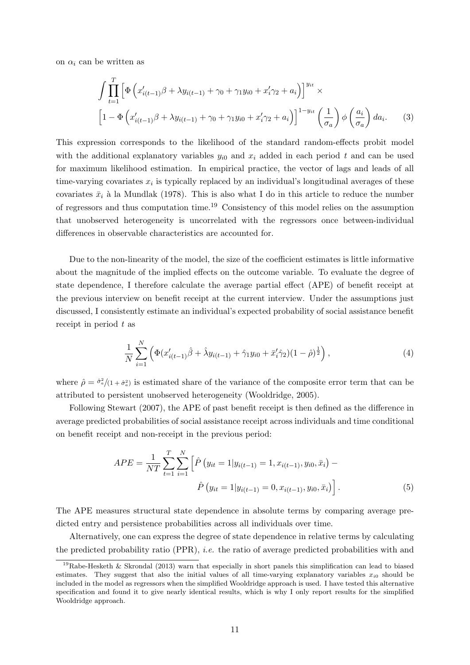on  $\alpha_i$  can be written as

$$
\int \prod_{t=1}^{T} \left[ \Phi \left( x'_{i(t-1)} \beta + \lambda y_{i(t-1)} + \gamma_0 + \gamma_1 y_{i0} + x'_i \gamma_2 + a_i \right) \right]^{y_{it}} \times
$$
\n
$$
\left[ 1 - \Phi \left( x'_{i(t-1)} \beta + \lambda y_{i(t-1)} + \gamma_0 + \gamma_1 y_{i0} + x'_i \gamma_2 + a_i \right) \right]^{1 - y_{it}} \left( \frac{1}{\sigma_a} \right) \phi \left( \frac{a_i}{\sigma_a} \right) da_i. \tag{3}
$$

This expression corresponds to the likelihood of the standard random-effects probit model with the additional explanatory variables  $y_{i0}$  and  $x_i$  added in each period t and can be used for maximum likelihood estimation. In empirical practice, the vector of lags and leads of all time-varying covariates  $x_i$  is typically replaced by an individual's longitudinal averages of these covariates  $\bar{x}_i$  à la Mundlak (1978). This is also what I do in this article to reduce the number of regressors and thus computation time.<sup>19</sup> Consistency of this model relies on the assumption that unobserved heterogeneity is uncorrelated with the regressors once between-individual differences in observable characteristics are accounted for.

Due to the non-linearity of the model, the size of the coefficient estimates is little informative about the magnitude of the implied effects on the outcome variable. To evaluate the degree of state dependence, I therefore calculate the average partial effect (APE) of benefit receipt at the previous interview on benefit receipt at the current interview. Under the assumptions just discussed, I consistently estimate an individual's expected probability of social assistance benefit receipt in period  $t$  as

$$
\frac{1}{N} \sum_{i=1}^{N} \left( \Phi(x'_{i(t-1)}\hat{\beta} + \hat{\lambda}y_{i(t-1)} + \hat{\gamma}_1 y_{i0} + \bar{x}'_i \hat{\gamma}_2)(1-\hat{\rho})^{\frac{1}{2}} \right), \tag{4}
$$

where  $\hat{\rho} = \frac{\hat{\sigma}_a^2}{1 + \hat{\sigma}_a^2}$  is estimated share of the variance of the composite error term that can be attributed to persistent unobserved heterogeneity (Wooldridge, 2005).

Following Stewart (2007), the APE of past benefit receipt is then defined as the difference in average predicted probabilities of social assistance receipt across individuals and time conditional on benefit receipt and non-receipt in the previous period:

$$
APE = \frac{1}{NT} \sum_{t=1}^{T} \sum_{i=1}^{N} \left[ \hat{P}(y_{it} = 1 | y_{i(t-1)} = 1, x_{i(t-1)}, y_{i0}, \bar{x}_i) - \hat{P}(y_{it} = 1 | y_{i(t-1)} = 0, x_{i(t-1)}, y_{i0}, \bar{x}_i) \right].
$$
\n(5)

The APE measures structural state dependence in absolute terms by comparing average predicted entry and persistence probabilities across all individuals over time.

Alternatively, one can express the degree of state dependence in relative terms by calculating the predicted probability ratio (PPR), i.e. the ratio of average predicted probabilities with and

<sup>&</sup>lt;sup>19</sup>Rabe-Hesketh & Skrondal (2013) warn that especially in short panels this simplification can lead to biased estimates. They suggest that also the initial values of all time-varying explanatory variables  $x_{i0}$  should be included in the model as regressors when the simplified Wooldridge approach is used. I have tested this alternative specification and found it to give nearly identical results, which is why I only report results for the simplified Wooldridge approach.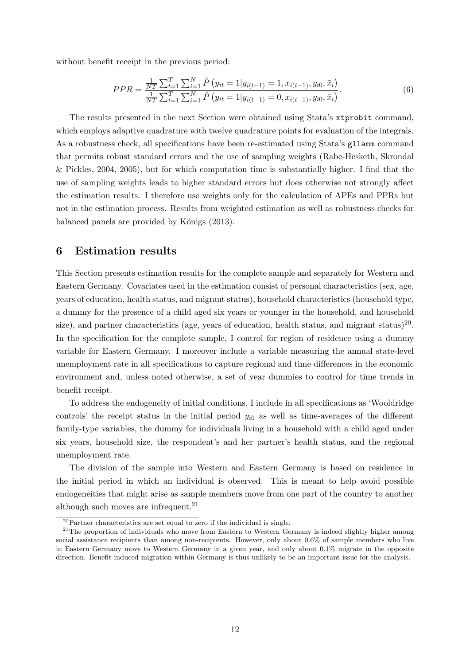without benefit receipt in the previous period:

$$
PPR = \frac{\frac{1}{NT} \sum_{t=1}^{T} \sum_{i=1}^{N} \hat{P}(y_{it} = 1 | y_{i(t-1)} = 1, x_{i(t-1)}, y_{i0}, \bar{x}_i)}{\frac{1}{NT} \sum_{t=1}^{T} \sum_{i=1}^{N} \hat{P}(y_{it} = 1 | y_{i(t-1)} = 0, x_{i(t-1)}, y_{i0}, \bar{x}_i)}.
$$
(6)

The results presented in the next Section were obtained using Stata's xtprobit command, which employs adaptive quadrature with twelve quadrature points for evaluation of the integrals. As a robustness check, all specifications have been re-estimated using Stata's gllamm command that permits robust standard errors and the use of sampling weights (Rabe-Hesketh, Skrondal & Pickles, 2004, 2005), but for which computation time is substantially higher. I find that the use of sampling weights leads to higher standard errors but does otherwise not strongly affect the estimation results. I therefore use weights only for the calculation of APEs and PPRs but not in the estimation process. Results from weighted estimation as well as robustness checks for balanced panels are provided by Königs (2013).

### 6 Estimation results

This Section presents estimation results for the complete sample and separately for Western and Eastern Germany. Covariates used in the estimation consist of personal characteristics (sex, age, years of education, health status, and migrant status), household characteristics (household type, a dummy for the presence of a child aged six years or younger in the household, and household size), and partner characteristics (age, years of education, health status, and migrant status)<sup>20</sup>. In the specification for the complete sample, I control for region of residence using a dummy variable for Eastern Germany. I moreover include a variable measuring the annual state-level unemployment rate in all specifications to capture regional and time differences in the economic environment and, unless noted otherwise, a set of year dummies to control for time trends in benefit receipt.

To address the endogeneity of initial conditions, I include in all specifications as 'Wooldridge controls' the receipt status in the initial period  $y_{i0}$  as well as time-averages of the different family-type variables, the dummy for individuals living in a household with a child aged under six years, household size, the respondent's and her partner's health status, and the regional unemployment rate.

The division of the sample into Western and Eastern Germany is based on residence in the initial period in which an individual is observed. This is meant to help avoid possible endogeneities that might arise as sample members move from one part of the country to another although such moves are infrequent.<sup>21</sup>

 $20$ Partner characteristics are set equal to zero if the individual is single.

 $21$ The proportion of individuals who move from Eastern to Western Germany is indeed slightly higher among social assistance recipients than among non-recipients. However, only about 0.6% of sample members who live in Eastern Germany move to Western Germany in a given year, and only about 0.1% migrate in the opposite direction. Benefit-induced migration within Germany is thus unlikely to be an important issue for the analysis.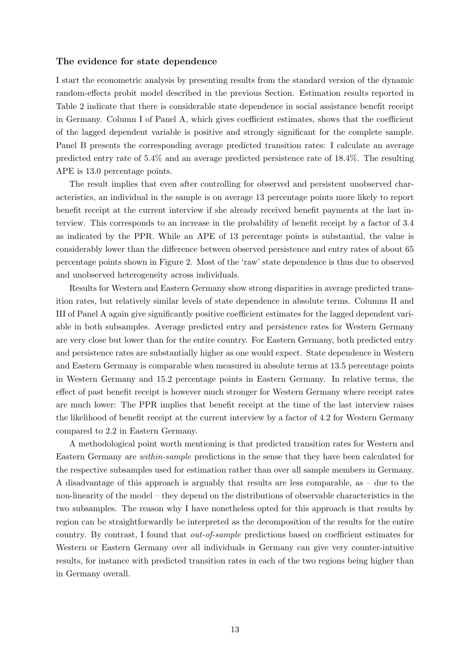#### The evidence for state dependence

I start the econometric analysis by presenting results from the standard version of the dynamic random-effects probit model described in the previous Section. Estimation results reported in Table 2 indicate that there is considerable state dependence in social assistance benefit receipt in Germany. Column I of Panel A, which gives coefficient estimates, shows that the coefficient of the lagged dependent variable is positive and strongly significant for the complete sample. Panel B presents the corresponding average predicted transition rates: I calculate an average predicted entry rate of 5.4% and an average predicted persistence rate of 18.4%. The resulting APE is 13.0 percentage points.

The result implies that even after controlling for observed and persistent unobserved characteristics, an individual in the sample is on average 13 percentage points more likely to report benefit receipt at the current interview if she already received benefit payments at the last interview. This corresponds to an increase in the probability of benefit receipt by a factor of 3.4 as indicated by the PPR. While an APE of 13 percentage points is substantial, the value is considerably lower than the difference between observed persistence and entry rates of about 65 percentage points shown in Figure 2. Most of the 'raw' state dependence is thus due to observed and unobserved heterogeneity across individuals.

Results for Western and Eastern Germany show strong disparities in average predicted transition rates, but relatively similar levels of state dependence in absolute terms. Columns II and III of Panel A again give significantly positive coefficient estimates for the lagged dependent variable in both subsamples. Average predicted entry and persistence rates for Western Germany are very close but lower than for the entire country. For Eastern Germany, both predicted entry and persistence rates are substantially higher as one would expect. State dependence in Western and Eastern Germany is comparable when measured in absolute terms at 13.5 percentage points in Western Germany and 15.2 percentage points in Eastern Germany. In relative terms, the effect of past benefit receipt is however much stronger for Western Germany where receipt rates are much lower: The PPR implies that benefit receipt at the time of the last interview raises the likelihood of benefit receipt at the current interview by a factor of 4.2 for Western Germany compared to 2.2 in Eastern Germany.

A methodological point worth mentioning is that predicted transition rates for Western and Eastern Germany are within-sample predictions in the sense that they have been calculated for the respective subsamples used for estimation rather than over all sample members in Germany. A disadvantage of this approach is arguably that results are less comparable, as – due to the non-linearity of the model – they depend on the distributions of observable characteristics in the two subsamples. The reason why I have nonetheless opted for this approach is that results by region can be straightforwardly be interpreted as the decomposition of the results for the entire country. By contrast, I found that out-of-sample predictions based on coefficient estimates for Western or Eastern Germany over all individuals in Germany can give very counter-intuitive results, for instance with predicted transition rates in each of the two regions being higher than in Germany overall.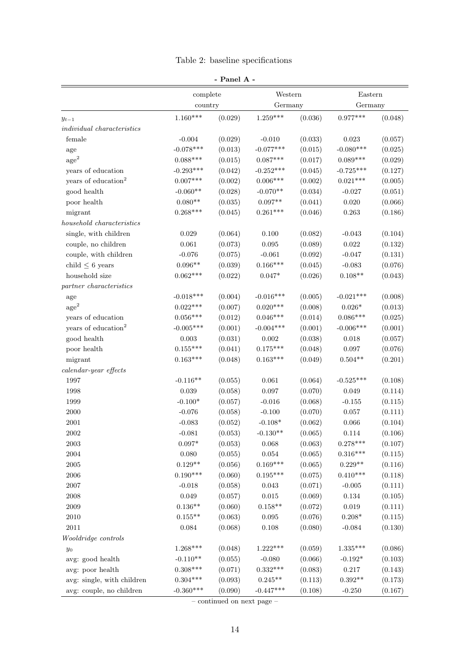|  | anel<br>$\sim$ | ۰ |  |
|--|----------------|---|--|
|--|----------------|---|--|

|                                   | complete        |         | Western     |         | Eastern     |         |  |
|-----------------------------------|-----------------|---------|-------------|---------|-------------|---------|--|
|                                   | country         |         | Germany     |         | Germany     |         |  |
| $y_{t-1}$                         | $1.160***$      | (0.029) | $1.259***$  | (0.036) | $0.977***$  | (0.048) |  |
| <i>individual characteristics</i> |                 |         |             |         |             |         |  |
| female                            | $-0.004$        | (0.029) | $-0.010$    | (0.033) | 0.023       | (0.057) |  |
| age                               | $-0.078***$     | (0.013) | $-0.077***$ | (0.015) | $-0.080***$ | (0.025) |  |
| $\rm{age}^2$                      | $0.088***$      | (0.015) | $0.087***$  | (0.017) | $0.089***$  | (0.029) |  |
| years of education                | $-0.293***$     | (0.042) | $-0.252***$ | (0.045) | $-0.725***$ | (0.127) |  |
| years of education <sup>2</sup>   | $0.007***$      | (0.002) | $0.006***$  | (0.002) | $0.021***$  | (0.005) |  |
| good health                       | $-0.060**$      | (0.028) | $-0.070**$  | (0.034) | $-0.027$    | (0.051) |  |
| poor health                       | $0.080**$       | (0.035) | $0.097**$   | (0.041) | 0.020       | (0.066) |  |
| migrant                           | $0.268***$      | (0.045) | $0.261***$  | (0.046) | $\,0.263\,$ | (0.186) |  |
| household characteristics         |                 |         |             |         |             |         |  |
| single, with children             | $\,0.029\,$     | (0.064) | 0.100       | (0.082) | $-0.043$    | (0.104) |  |
| couple, no children               | $\,0.061\,$     | (0.073) | 0.095       | (0.089) | $\,0.022\,$ | (0.132) |  |
| couple, with children             | $-0.076$        | (0.075) | $-0.061$    | (0.092) | $-0.047$    | (0.131) |  |
| child $\leq$ 6 years              | $0.096**$       | (0.039) | $0.166***$  | (0.045) | $-0.083$    | (0.076) |  |
| household size                    | $0.062***$      | (0.022) | $0.047*$    | (0.026) | $0.108**$   | (0.043) |  |
| partner characteristics           |                 |         |             |         |             |         |  |
| $\rm age$                         | $-0.018***$     | (0.004) | $-0.016***$ | (0.005) | $-0.021***$ | (0.008) |  |
| $\mathrm{age}^2$                  | $0.022***$      | (0.007) | $0.020***$  | (0.008) | $0.026*$    | (0.013) |  |
| years of education                | $0.056^{***}\,$ | (0.012) | $0.046***$  | (0.014) | $0.086***$  | (0.025) |  |
| years of education <sup>2</sup>   | $-0.005***$     | (0.001) | $-0.004***$ | (0.001) | $-0.006***$ | (0.001) |  |
| good health                       | $\,0.003\,$     | (0.031) | $0.002\,$   | (0.038) | $0.018\,$   | (0.057) |  |
| poor health                       | $0.155***$      | (0.041) | $0.175***$  | (0.048) | $0.097\,$   | (0.076) |  |
| migrant                           | $0.163***$      | (0.048) | $0.163***$  | (0.049) | $0.504**$   | (0.201) |  |
| $\emph{calardar-year effects}$    |                 |         |             |         |             |         |  |
| 1997                              | $-0.116**$      | (0.055) | 0.061       | (0.064) | $-0.525***$ | (0.108) |  |
| 1998                              | 0.039           | (0.058) | 0.097       | (0.070) | 0.049       | (0.114) |  |
| 1999                              | $-0.100*$       | (0.057) | $-0.016$    | (0.068) | $-0.155$    | (0.115) |  |
| $2000\,$                          | $-0.076$        | (0.058) | $-0.100$    | (0.070) | $0.057\,$   | (0.111) |  |
| $2001\,$                          | $-0.083$        | (0.052) | $-0.108*$   | (0.062) | 0.066       | (0.104) |  |
| 2002                              | $-0.081$        | (0.053) | $-0.130**$  | (0.065) | 0.114       | (0.106) |  |
| $\,2003\,$                        | $0.097*$        | (0.053) | 0.068       | (0.063) | $0.278***$  | (0.107) |  |
| 2004                              | 0.080           | (0.055) | $\,0.054\,$ | (0.065) | $0.316***$  | (0.115) |  |
| $\,2005\,$                        | $0.129**$       | (0.056) | $0.169***$  | (0.065) | $0.229**$   | (0.116) |  |
| $\,2006$                          | $0.190***$      | (0.060) | $0.195***$  | (0.075) | $0.410***$  | (0.118) |  |
| $2007\,$                          | $-0.018$        | (0.058) | $\,0.043\,$ | (0.071) | $-0.005$    | (0.111) |  |
| 2008                              | 0.049           | (0.057) | $\,0.015\,$ | (0.069) | $0.134\,$   | (0.105) |  |
| $2009\,$                          | $0.136**$       | (0.060) | $0.158**$   | (0.072) | $\,0.019\,$ | (0.111) |  |
| $2010\,$                          | $0.155**$       | (0.063) | $\,0.095\,$ | (0.076) | $0.208*$    | (0.115) |  |
| 2011                              | $\,0.084\,$     | (0.068) | $0.108\,$   | (0.080) | $-0.084$    | (0.130) |  |
| Wooldridge controls               |                 |         |             |         |             |         |  |
| $y_0$                             | $1.268***$      | (0.048) | $1.222***$  | (0.059) | $1.335***$  | (0.086) |  |
| avg: good health                  | $-0.110**$      | (0.055) | $-0.080$    | (0.066) | $-0.192*$   | (0.103) |  |
| avg: poor health                  | $0.308***$      | (0.071) | $0.332***$  | (0.083) | $0.217\,$   | (0.143) |  |
| avg: single, with children        | $0.304***$      | (0.093) | $0.245**$   | (0.113) | $0.392**$   | (0.173) |  |
| avg: couple, no children          | $-0.360***$     | (0.090) | $-0.447***$ | (0.108) | $-0.250$    | (0.167) |  |

– continued on next page –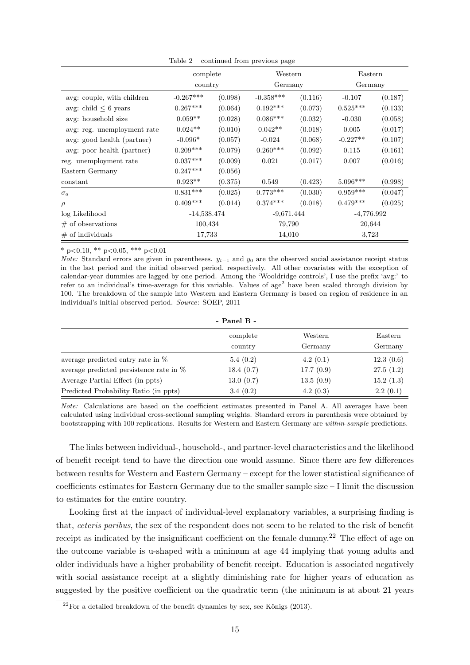|                             | complete      |         | Western      |         | Eastern      |         |
|-----------------------------|---------------|---------|--------------|---------|--------------|---------|
|                             | country       |         | Germany      |         | Germany      |         |
| avg: couple, with children  | $-0.267***$   | (0.098) | $-0.358***$  | (0.116) | $-0.107$     | (0.187) |
| avg: child $\leq$ 6 years   | $0.267***$    | (0.064) | $0.192***$   | (0.073) | $0.525***$   | (0.133) |
| avg: household size         | $0.059**$     | (0.028) | $0.086***$   | (0.032) | $-0.030$     | (0.058) |
| avg: reg. unemployment rate | $0.024**$     | (0.010) | $0.042**$    | (0.018) | 0.005        | (0.017) |
| avg: good health (partner)  | $-0.096*$     | (0.057) | $-0.024$     | (0.068) | $-0.227**$   | (0.107) |
| avg: poor health (partner)  | $0.209***$    | (0.079) | $0.260***$   | (0.092) | 0.115        | (0.161) |
| reg. unemployment rate      | $0.037***$    | (0.009) | 0.021        | (0.017) | 0.007        | (0.016) |
| Eastern Germany             | $0.247***$    | (0.056) |              |         |              |         |
| constant                    | $0.923**$     | (0.375) | 0.549        | (0.423) | $5.096***$   | (0.998) |
| $\sigma_a$                  | $0.831***$    | (0.025) | $0.773***$   | (0.030) | $0.959***$   | (0.047) |
| $\rho$                      | $0.409***$    | (0.014) | $0.374***$   | (0.018) | $0.479***$   | (0.025) |
| log Likelihood              | $-14,538.474$ |         | $-9,671.444$ |         | $-4,776.992$ |         |
| $\#$ of observations        | 100,434       |         | 79,790       |         | 20,644       |         |
| $#$ of individuals          | 17,733        |         | 14,010       |         | 3,723        |         |

Table 2 – continued from previous page –

\* p<0.10, \*\* p<0.05, \*\*\* p<0.01

*Note:* Standard errors are given in parentheses.  $y_{t-1}$  and  $y_0$  are the observed social assistance receipt status in the last period and the initial observed period, respectively. All other covariates with the exception of calendar-year dummies are lagged by one period. Among the 'Wooldridge controls', I use the prefix 'avg:' to refer to an individual's time-average for this variable. Values of  $age<sup>2</sup>$  have been scaled through division by 100. The breakdown of the sample into Western and Eastern Germany is based on region of residence in an individual's initial observed period. Source: SOEP, 2011

- Panel B -

|                                           | complete  | Western   | Eastern   |
|-------------------------------------------|-----------|-----------|-----------|
|                                           | country   | Germany   | Germany   |
| average predicted entry rate in $\%$      | 5.4(0.2)  | 4.2(0.1)  | 12.3(0.6) |
| average predicted persistence rate in $%$ | 18.4(0.7) | 17.7(0.9) | 27.5(1.2) |
| Average Partial Effect (in ppts)          | 13.0(0.7) | 13.5(0.9) | 15.2(1.3) |
| Predicted Probability Ratio (in ppts)     | 3.4(0.2)  | 4.2(0.3)  | 2.2(0.1)  |

Note: Calculations are based on the coefficient estimates presented in Panel A. All averages have been calculated using individual cross-sectional sampling weights. Standard errors in parenthesis were obtained by bootstrapping with 100 replications. Results for Western and Eastern Germany are within-sample predictions.

The links between individual-, household-, and partner-level characteristics and the likelihood of benefit receipt tend to have the direction one would assume. Since there are few differences between results for Western and Eastern Germany – except for the lower statistical significance of coefficients estimates for Eastern Germany due to the smaller sample size – I limit the discussion to estimates for the entire country.

Looking first at the impact of individual-level explanatory variables, a surprising finding is that, ceteris paribus, the sex of the respondent does not seem to be related to the risk of benefit receipt as indicated by the insignificant coefficient on the female dummy.<sup>22</sup> The effect of age on the outcome variable is u-shaped with a minimum at age 44 implying that young adults and older individuals have a higher probability of benefit receipt. Education is associated negatively with social assistance receipt at a slightly diminishing rate for higher years of education as suggested by the positive coefficient on the quadratic term (the minimum is at about 21 years

 $^{22}$ For a detailed breakdown of the benefit dynamics by sex, see Königs (2013).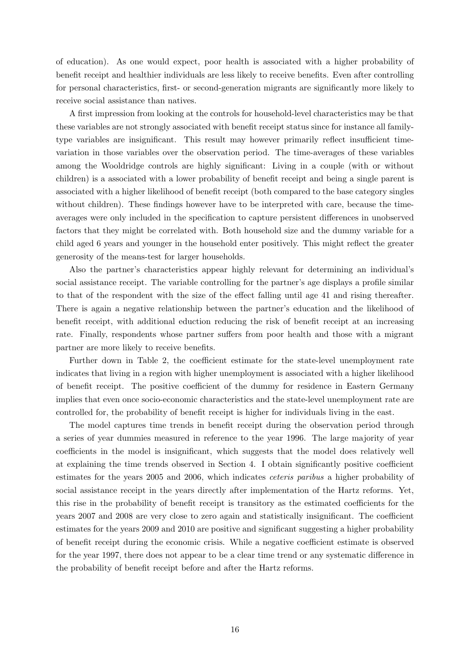of education). As one would expect, poor health is associated with a higher probability of benefit receipt and healthier individuals are less likely to receive benefits. Even after controlling for personal characteristics, first- or second-generation migrants are significantly more likely to receive social assistance than natives.

A first impression from looking at the controls for household-level characteristics may be that these variables are not strongly associated with benefit receipt status since for instance all familytype variables are insignificant. This result may however primarily reflect insufficient timevariation in those variables over the observation period. The time-averages of these variables among the Wooldridge controls are highly significant: Living in a couple (with or without children) is a associated with a lower probability of benefit receipt and being a single parent is associated with a higher likelihood of benefit receipt (both compared to the base category singles without children). These findings however have to be interpreted with care, because the timeaverages were only included in the specification to capture persistent differences in unobserved factors that they might be correlated with. Both household size and the dummy variable for a child aged 6 years and younger in the household enter positively. This might reflect the greater generosity of the means-test for larger households.

Also the partner's characteristics appear highly relevant for determining an individual's social assistance receipt. The variable controlling for the partner's age displays a profile similar to that of the respondent with the size of the effect falling until age 41 and rising thereafter. There is again a negative relationship between the partner's education and the likelihood of benefit receipt, with additional eduction reducing the risk of benefit receipt at an increasing rate. Finally, respondents whose partner suffers from poor health and those with a migrant partner are more likely to receive benefits.

Further down in Table 2, the coefficient estimate for the state-level unemployment rate indicates that living in a region with higher unemployment is associated with a higher likelihood of benefit receipt. The positive coefficient of the dummy for residence in Eastern Germany implies that even once socio-economic characteristics and the state-level unemployment rate are controlled for, the probability of benefit receipt is higher for individuals living in the east.

The model captures time trends in benefit receipt during the observation period through a series of year dummies measured in reference to the year 1996. The large majority of year coefficients in the model is insignificant, which suggests that the model does relatively well at explaining the time trends observed in Section 4. I obtain significantly positive coefficient estimates for the years 2005 and 2006, which indicates ceteris paribus a higher probability of social assistance receipt in the years directly after implementation of the Hartz reforms. Yet, this rise in the probability of benefit receipt is transitory as the estimated coefficients for the years 2007 and 2008 are very close to zero again and statistically insignificant. The coefficient estimates for the years 2009 and 2010 are positive and significant suggesting a higher probability of benefit receipt during the economic crisis. While a negative coefficient estimate is observed for the year 1997, there does not appear to be a clear time trend or any systematic difference in the probability of benefit receipt before and after the Hartz reforms.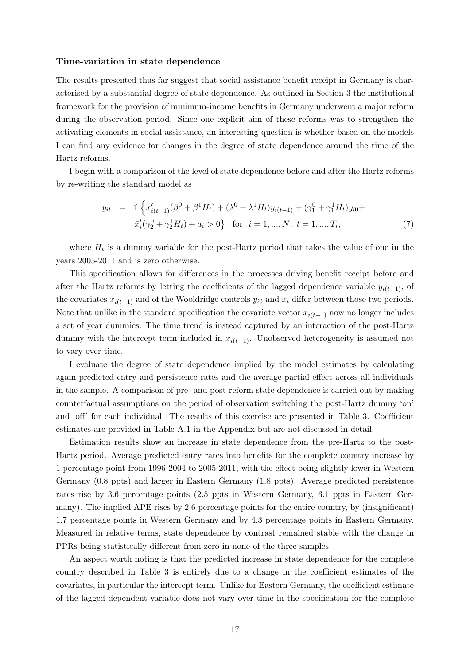#### Time-variation in state dependence

The results presented thus far suggest that social assistance benefit receipt in Germany is characterised by a substantial degree of state dependence. As outlined in Section 3 the institutional framework for the provision of minimum-income benefits in Germany underwent a major reform during the observation period. Since one explicit aim of these reforms was to strengthen the activating elements in social assistance, an interesting question is whether based on the models I can find any evidence for changes in the degree of state dependence around the time of the Hartz reforms.

I begin with a comparison of the level of state dependence before and after the Hartz reforms by re-writing the standard model as

$$
y_{it} = \mathbb{1}\left\{x'_{i(t-1)}(\beta^0 + \beta^1 H_t) + (\lambda^0 + \lambda^1 H_t)y_{i(t-1)} + (\gamma_1^0 + \gamma_1^1 H_t)y_{i0} + \overline{x}'_i(\gamma_2^0 + \gamma_2^1 H_t) + a_i > 0\right\}
$$
 for  $i = 1, ..., N$ ;  $t = 1, ..., T_i$ , (7)

where  $H_t$  is a dummy variable for the post-Hartz period that takes the value of one in the years 2005-2011 and is zero otherwise.

This specification allows for differences in the processes driving benefit receipt before and after the Hartz reforms by letting the coefficients of the lagged dependence variable  $y_{i(t-1)}$ , of the covariates  $x_{i(t-1)}$  and of the Wooldridge controls  $y_{i0}$  and  $\bar{x}_i$  differ between those two periods. Note that unlike in the standard specification the covariate vector  $x_{i(t-1)}$  now no longer includes a set of year dummies. The time trend is instead captured by an interaction of the post-Hartz dummy with the intercept term included in  $x_{i(t-1)}$ . Unobserved heterogeneity is assumed not to vary over time.

I evaluate the degree of state dependence implied by the model estimates by calculating again predicted entry and persistence rates and the average partial effect across all individuals in the sample. A comparison of pre- and post-reform state dependence is carried out by making counterfactual assumptions on the period of observation switching the post-Hartz dummy 'on' and 'off' for each individual. The results of this exercise are presented in Table 3. Coefficient estimates are provided in Table A.1 in the Appendix but are not discussed in detail.

Estimation results show an increase in state dependence from the pre-Hartz to the post-Hartz period. Average predicted entry rates into benefits for the complete country increase by 1 percentage point from 1996-2004 to 2005-2011, with the effect being slightly lower in Western Germany (0.8 ppts) and larger in Eastern Germany (1.8 ppts). Average predicted persistence rates rise by 3.6 percentage points (2.5 ppts in Western Germany, 6.1 ppts in Eastern Germany). The implied APE rises by 2.6 percentage points for the entire country, by (insignificant) 1.7 percentage points in Western Germany and by 4.3 percentage points in Eastern Germany. Measured in relative terms, state dependence by contrast remained stable with the change in PPRs being statistically different from zero in none of the three samples.

An aspect worth noting is that the predicted increase in state dependence for the complete country described in Table 3 is entirely due to a change in the coefficient estimates of the covariates, in particular the intercept term. Unlike for Eastern Germany, the coefficient estimate of the lagged dependent variable does not vary over time in the specification for the complete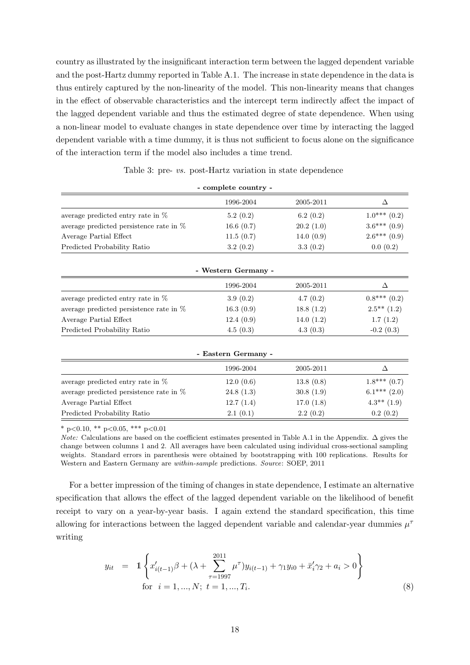country as illustrated by the insignificant interaction term between the lagged dependent variable and the post-Hartz dummy reported in Table A.1. The increase in state dependence in the data is thus entirely captured by the non-linearity of the model. This non-linearity means that changes in the effect of observable characteristics and the intercept term indirectly affect the impact of the lagged dependent variable and thus the estimated degree of state dependence. When using a non-linear model to evaluate changes in state dependence over time by interacting the lagged dependent variable with a time dummy, it is thus not sufficient to focus alone on the significance of the interaction term if the model also includes a time trend.

| Table 3: pre- vs. post-Hartz variation in state dependence |  |
|------------------------------------------------------------|--|
| - complete country -                                       |  |

|                                            | 1996-2004 | 2005-2011    |                |
|--------------------------------------------|-----------|--------------|----------------|
| average predicted entry rate in $\%$       | 5.2(0.2)  | 6.2(0.2)     | $1.0***(0.2)$  |
| average predicted persistence rate in $\%$ | 16.6(0.7) | 20.2(1.0)    | $3.6***(0.9)$  |
| Average Partial Effect                     | 11.5(0.7) | 14.0 $(0.9)$ | $2.6***$ (0.9) |
| Predicted Probability Ratio                | 3.2(0.2)  | 3.3(0.2)     | 0.0(0.2)       |

| - Western Germany -                        |           |              |                   |  |  |  |
|--------------------------------------------|-----------|--------------|-------------------|--|--|--|
|                                            | 1996-2004 | 2005-2011    |                   |  |  |  |
| average predicted entry rate in $\%$       | 3.9(0.2)  | 4.7(0.2)     | $0.8$ *** $(0.2)$ |  |  |  |
| average predicted persistence rate in $\%$ | 16.3(0.9) | 18.8(1.2)    | $2.5***(1.2)$     |  |  |  |
| Average Partial Effect                     | 12.4(0.9) | 14.0 $(1.2)$ | 1.7(1.2)          |  |  |  |
| Predicted Probability Ratio                | 4.5(0.3)  | 4.3(0.3)     | $-0.2(0.3)$       |  |  |  |

| - Eastern Germany -                        |           |           |                  |  |  |  |
|--------------------------------------------|-----------|-----------|------------------|--|--|--|
|                                            | 1996-2004 | 2005-2011 | Λ                |  |  |  |
| average predicted entry rate in $%$        | 12.0(0.6) | 13.8(0.8) | $1.8***(0.7)$    |  |  |  |
| average predicted persistence rate in $\%$ | 24.8(1.3) | 30.8(1.9) | $6.1***$ $(2.0)$ |  |  |  |
| Average Partial Effect                     | 12.7(1.4) | 17.0(1.8) | $4.3**$ (1.9)    |  |  |  |
| Predicted Probability Ratio                | 2.1(0.1)  | 2.2(0.2)  | 0.2(0.2)         |  |  |  |

\* p<0.10, \*\* p<0.05, \*\*\* p<0.01

Note: Calculations are based on the coefficient estimates presented in Table A.1 in the Appendix. ∆ gives the change between columns 1 and 2. All averages have been calculated using individual cross-sectional sampling weights. Standard errors in parenthesis were obtained by bootstrapping with 100 replications. Results for Western and Eastern Germany are within-sample predictions. Source: SOEP, 2011

For a better impression of the timing of changes in state dependence, I estimate an alternative specification that allows the effect of the lagged dependent variable on the likelihood of benefit receipt to vary on a year-by-year basis. I again extend the standard specification, this time allowing for interactions between the lagged dependent variable and calendar-year dummies  $\mu^{\tau}$ writing

$$
y_{it} = 1 \left\{ x'_{i(t-1)}\beta + (\lambda + \sum_{\tau=1997}^{2011} \mu^{\tau}) y_{i(t-1)} + \gamma_1 y_{i0} + \bar{x}'_i \gamma_2 + a_i > 0 \right\}
$$
  
for  $i = 1, ..., N; t = 1, ..., T_i.$  (8)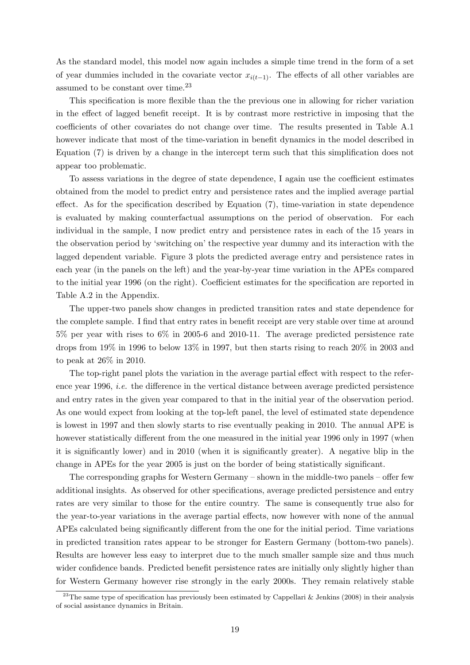As the standard model, this model now again includes a simple time trend in the form of a set of year dummies included in the covariate vector  $x_{i(t-1)}$ . The effects of all other variables are assumed to be constant over time.<sup>23</sup>

This specification is more flexible than the the previous one in allowing for richer variation in the effect of lagged benefit receipt. It is by contrast more restrictive in imposing that the coefficients of other covariates do not change over time. The results presented in Table A.1 however indicate that most of the time-variation in benefit dynamics in the model described in Equation (7) is driven by a change in the intercept term such that this simplification does not appear too problematic.

To assess variations in the degree of state dependence, I again use the coefficient estimates obtained from the model to predict entry and persistence rates and the implied average partial effect. As for the specification described by Equation (7), time-variation in state dependence is evaluated by making counterfactual assumptions on the period of observation. For each individual in the sample, I now predict entry and persistence rates in each of the 15 years in the observation period by 'switching on' the respective year dummy and its interaction with the lagged dependent variable. Figure 3 plots the predicted average entry and persistence rates in each year (in the panels on the left) and the year-by-year time variation in the APEs compared to the initial year 1996 (on the right). Coefficient estimates for the specification are reported in Table A.2 in the Appendix.

The upper-two panels show changes in predicted transition rates and state dependence for the complete sample. I find that entry rates in benefit receipt are very stable over time at around 5% per year with rises to 6% in 2005-6 and 2010-11. The average predicted persistence rate drops from 19% in 1996 to below 13% in 1997, but then starts rising to reach 20% in 2003 and to peak at 26% in 2010.

The top-right panel plots the variation in the average partial effect with respect to the reference year 1996, i.e. the difference in the vertical distance between average predicted persistence and entry rates in the given year compared to that in the initial year of the observation period. As one would expect from looking at the top-left panel, the level of estimated state dependence is lowest in 1997 and then slowly starts to rise eventually peaking in 2010. The annual APE is however statistically different from the one measured in the initial year 1996 only in 1997 (when it is significantly lower) and in 2010 (when it is significantly greater). A negative blip in the change in APEs for the year 2005 is just on the border of being statistically significant.

The corresponding graphs for Western Germany – shown in the middle-two panels – offer few additional insights. As observed for other specifications, average predicted persistence and entry rates are very similar to those for the entire country. The same is consequently true also for the year-to-year variations in the average partial effects, now however with none of the annual APEs calculated being significantly different from the one for the initial period. Time variations in predicted transition rates appear to be stronger for Eastern Germany (bottom-two panels). Results are however less easy to interpret due to the much smaller sample size and thus much wider confidence bands. Predicted benefit persistence rates are initially only slightly higher than for Western Germany however rise strongly in the early 2000s. They remain relatively stable

<sup>&</sup>lt;sup>23</sup>The same type of specification has previously been estimated by Cappellari & Jenkins (2008) in their analysis of social assistance dynamics in Britain.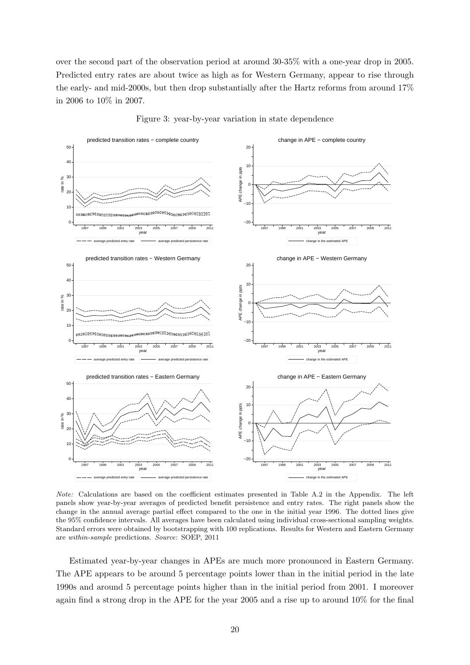over the second part of the observation period at around 30-35% with a one-year drop in 2005. Predicted entry rates are about twice as high as for Western Germany, appear to rise through the early- and mid-2000s, but then drop substantially after the Hartz reforms from around 17% in 2006 to 10% in 2007.





Note: Calculations are based on the coefficient estimates presented in Table A.2 in the Appendix. The left panels show year-by-year averages of predicted benefit persistence and entry rates. The right panels show the change in the annual average partial effect compared to the one in the initial year 1996. The dotted lines give the 95% confidence intervals. All averages have been calculated using individual cross-sectional sampling weights. Standard errors were obtained by bootstrapping with 100 replications. Results for Western and Eastern Germany are within-sample predictions. Source: SOEP, 2011

Estimated year-by-year changes in APEs are much more pronounced in Eastern Germany. The APE appears to be around 5 percentage points lower than in the initial period in the late 1990s and around 5 percentage points higher than in the initial period from 2001. I moreover again find a strong drop in the APE for the year 2005 and a rise up to around 10% for the final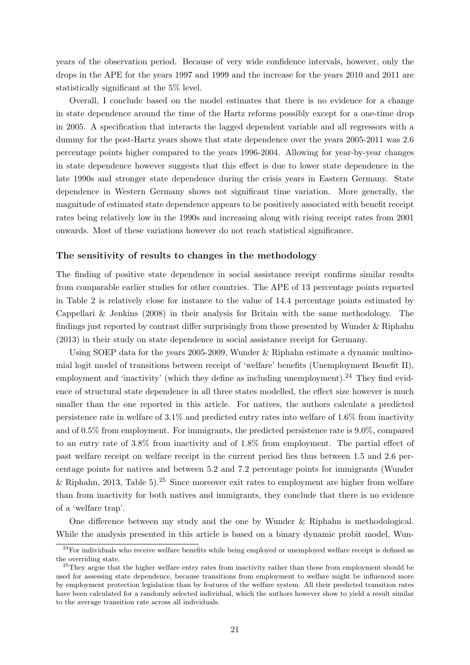years of the observation period. Because of very wide confidence intervals, however, only the drops in the APE for the years 1997 and 1999 and the increase for the years 2010 and 2011 are statistically significant at the 5% level.

Overall, I conclude based on the model estimates that there is no evidence for a change in state dependence around the time of the Hartz reforms possibly except for a one-time drop in 2005. A specification that interacts the lagged dependent variable and all regressors with a dummy for the post-Hartz years shows that state dependence over the years 2005-2011 was 2.6 percentage points higher compared to the years 1996-2004. Allowing for year-by-year changes in state dependence however suggests that this effect is due to lower state dependence in the late 1990s and stronger state dependence during the crisis years in Eastern Germany. State dependence in Western Germany shows not significant time variation. More generally, the magnitude of estimated state dependence appears to be positively associated with benefit receipt rates being relatively low in the 1990s and increasing along with rising receipt rates from 2001 onwards. Most of these variations however do not reach statistical significance.

#### The sensitivity of results to changes in the methodology

The finding of positive state dependence in social assistance receipt confirms similar results from comparable earlier studies for other countries. The APE of 13 percentage points reported in Table 2 is relatively close for instance to the value of 14.4 percentage points estimated by Cappellari & Jenkins (2008) in their analysis for Britain with the same methodology. The findings just reported by contrast differ surprisingly from those presented by Wunder & Riphahn (2013) in their study on state dependence in social assistance receipt for Germany.

Using SOEP data for the years 2005-2009, Wunder & Riphahn estimate a dynamic multinomial logit model of transitions between receipt of 'welfare' benefits (Unemployment Benefit II), employment and 'inactivity' (which they define as including unemployment).<sup>24</sup> They find evidence of structural state dependence in all three states modelled, the effect size however is much smaller than the one reported in this article. For natives, the authors calculate a predicted persistence rate in welfare of 3.1% and predicted entry rates into welfare of 1.6% from inactivity and of 0.5% from employment. For immigrants, the predicted persistence rate is 9.0%, compared to an entry rate of 3.8% from inactivity and of 1.8% from employment. The partial effect of past welfare receipt on welfare receipt in the current period lies thus between 1.5 and 2.6 percentage points for natives and between 5.2 and 7.2 percentage points for immigrants (Wunder & Riphahn, 2013, Table 5).<sup>25</sup> Since moreover exit rates to employment are higher from welfare than from inactivity for both natives and immigrants, they conclude that there is no evidence of a 'welfare trap'.

One difference between my study and the one by Wunder & Riphahn is methodological. While the analysis presented in this article is based on a binary dynamic probit model, Wun-

 $^{24}$ For individuals who receive welfare benefits while being employed or unemployed welfare receipt is defined as the overriding state.

<sup>&</sup>lt;sup>25</sup>They argue that the higher welfare entry rates from inactivity rather than those from employment should be used for assessing state dependence, because transitions from employment to welfare might be influenced more by employment protection legislation than by features of the welfare system. All their predicted transition rates have been calculated for a randomly selected individual, which the authors however show to yield a result similar to the average transition rate across all individuals.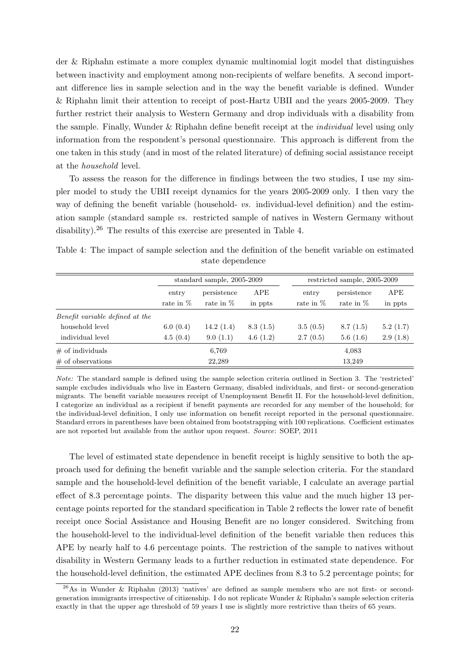der & Riphahn estimate a more complex dynamic multinomial logit model that distinguishes between inactivity and employment among non-recipients of welfare benefits. A second important difference lies in sample selection and in the way the benefit variable is defined. Wunder & Riphahn limit their attention to receipt of post-Hartz UBII and the years 2005-2009. They further restrict their analysis to Western Germany and drop individuals with a disability from the sample. Finally, Wunder & Riphahn define benefit receipt at the individual level using only information from the respondent's personal questionnaire. This approach is different from the one taken in this study (and in most of the related literature) of defining social assistance receipt at the household level.

To assess the reason for the difference in findings between the two studies, I use my simpler model to study the UBII receipt dynamics for the years 2005-2009 only. I then vary the way of defining the benefit variable (household- vs. individual-level definition) and the estimation sample (standard sample vs. restricted sample of natives in Western Germany without disability).<sup>26</sup> The results of this exercise are presented in Table 4.

Table 4: The impact of sample selection and the definition of the benefit variable on estimated state dependence

|                                 | standard sample, 2005-2009 |                            |                |                      | restricted sample, 2005-2009 |                |  |
|---------------------------------|----------------------------|----------------------------|----------------|----------------------|------------------------------|----------------|--|
|                                 | entry<br>rate in $%$       | persistence<br>rate in $%$ | APE<br>in ppts | entry<br>rate in $%$ | persistence<br>rate in $%$   | APE<br>in ppts |  |
| Benefit variable defined at the |                            |                            |                |                      |                              |                |  |
| household level                 | 6.0(0.4)                   | 14.2(1.4)                  | 8.3(1.5)       | 3.5(0.5)             | 8.7(1.5)                     | 5.2(1.7)       |  |
| individual level                | 4.5(0.4)                   | 9.0(1.1)                   | 4.6(1.2)       | 2.7(0.5)             | 5.6(1.6)                     | 2.9(1.8)       |  |
| $\#$ of individuals             |                            | 6,769                      |                |                      | 4,083                        |                |  |
| $\#$ of observations            | 22,289                     |                            |                | 13,249               |                              |                |  |

Note: The standard sample is defined using the sample selection criteria outlined in Section 3. The 'restricted' sample excludes individuals who live in Eastern Germany, disabled individuals, and first- or second-generation migrants. The benefit variable measures receipt of Unemployment Benefit II. For the household-level definition, I categorize an individual as a recipient if benefit payments are recorded for any member of the household; for the individual-level definition, I only use information on benefit receipt reported in the personal questionnaire. Standard errors in parentheses have been obtained from bootstrapping with 100 replications. Coefficient estimates are not reported but available from the author upon request. Source: SOEP, 2011

The level of estimated state dependence in benefit receipt is highly sensitive to both the approach used for defining the benefit variable and the sample selection criteria. For the standard sample and the household-level definition of the benefit variable, I calculate an average partial effect of 8.3 percentage points. The disparity between this value and the much higher 13 percentage points reported for the standard specification in Table 2 reflects the lower rate of benefit receipt once Social Assistance and Housing Benefit are no longer considered. Switching from the household-level to the individual-level definition of the benefit variable then reduces this APE by nearly half to 4.6 percentage points. The restriction of the sample to natives without disability in Western Germany leads to a further reduction in estimated state dependence. For the household-level definition, the estimated APE declines from 8.3 to 5.2 percentage points; for

 $^{26}$ As in Wunder & Riphahn (2013) 'natives' are defined as sample members who are not first- or secondgeneration immigrants irrespective of citizenship. I do not replicate Wunder & Riphahn's sample selection criteria exactly in that the upper age threshold of 59 years I use is slightly more restrictive than theirs of 65 years.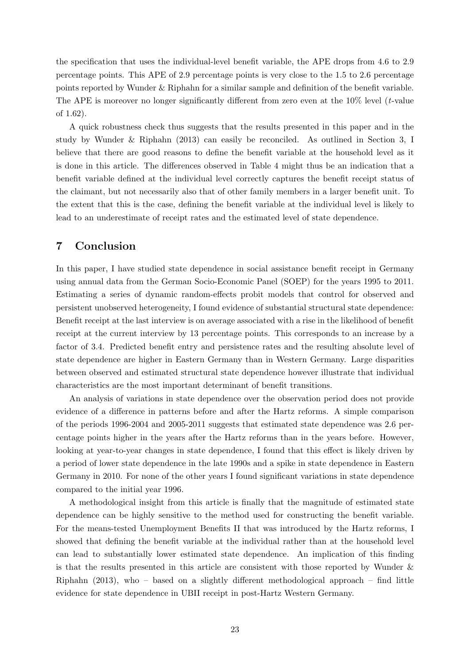the specification that uses the individual-level benefit variable, the APE drops from 4.6 to 2.9 percentage points. This APE of 2.9 percentage points is very close to the 1.5 to 2.6 percentage points reported by Wunder & Riphahn for a similar sample and definition of the benefit variable. The APE is moreover no longer significantly different from zero even at the  $10\%$  level (*t*-value of 1.62).

A quick robustness check thus suggests that the results presented in this paper and in the study by Wunder & Riphahn (2013) can easily be reconciled. As outlined in Section 3, I believe that there are good reasons to define the benefit variable at the household level as it is done in this article. The differences observed in Table 4 might thus be an indication that a benefit variable defined at the individual level correctly captures the benefit receipt status of the claimant, but not necessarily also that of other family members in a larger benefit unit. To the extent that this is the case, defining the benefit variable at the individual level is likely to lead to an underestimate of receipt rates and the estimated level of state dependence.

# 7 Conclusion

In this paper, I have studied state dependence in social assistance benefit receipt in Germany using annual data from the German Socio-Economic Panel (SOEP) for the years 1995 to 2011. Estimating a series of dynamic random-effects probit models that control for observed and persistent unobserved heterogeneity, I found evidence of substantial structural state dependence: Benefit receipt at the last interview is on average associated with a rise in the likelihood of benefit receipt at the current interview by 13 percentage points. This corresponds to an increase by a factor of 3.4. Predicted benefit entry and persistence rates and the resulting absolute level of state dependence are higher in Eastern Germany than in Western Germany. Large disparities between observed and estimated structural state dependence however illustrate that individual characteristics are the most important determinant of benefit transitions.

An analysis of variations in state dependence over the observation period does not provide evidence of a difference in patterns before and after the Hartz reforms. A simple comparison of the periods 1996-2004 and 2005-2011 suggests that estimated state dependence was 2.6 percentage points higher in the years after the Hartz reforms than in the years before. However, looking at year-to-year changes in state dependence, I found that this effect is likely driven by a period of lower state dependence in the late 1990s and a spike in state dependence in Eastern Germany in 2010. For none of the other years I found significant variations in state dependence compared to the initial year 1996.

A methodological insight from this article is finally that the magnitude of estimated state dependence can be highly sensitive to the method used for constructing the benefit variable. For the means-tested Unemployment Benefits II that was introduced by the Hartz reforms, I showed that defining the benefit variable at the individual rather than at the household level can lead to substantially lower estimated state dependence. An implication of this finding is that the results presented in this article are consistent with those reported by Wunder & Riphahn (2013), who – based on a slightly different methodological approach – find little evidence for state dependence in UBII receipt in post-Hartz Western Germany.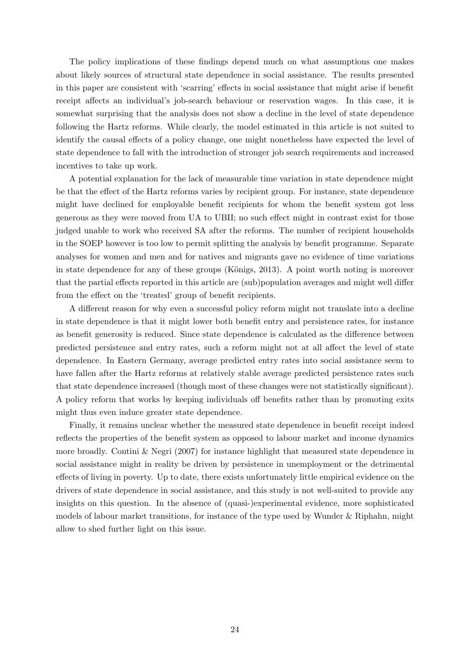The policy implications of these findings depend much on what assumptions one makes about likely sources of structural state dependence in social assistance. The results presented in this paper are consistent with 'scarring' effects in social assistance that might arise if benefit receipt affects an individual's job-search behaviour or reservation wages. In this case, it is somewhat surprising that the analysis does not show a decline in the level of state dependence following the Hartz reforms. While clearly, the model estimated in this article is not suited to identify the causal effects of a policy change, one might nonetheless have expected the level of state dependence to fall with the introduction of stronger job search requirements and increased incentives to take up work.

A potential explanation for the lack of measurable time variation in state dependence might be that the effect of the Hartz reforms varies by recipient group. For instance, state dependence might have declined for employable benefit recipients for whom the benefit system got less generous as they were moved from UA to UBII; no such effect might in contrast exist for those judged unable to work who received SA after the reforms. The number of recipient households in the SOEP however is too low to permit splitting the analysis by benefit programme. Separate analyses for women and men and for natives and migrants gave no evidence of time variations in state dependence for any of these groups (Königs,  $2013$ ). A point worth noting is moreover that the partial effects reported in this article are (sub)population averages and might well differ from the effect on the 'treated' group of benefit recipients.

A different reason for why even a successful policy reform might not translate into a decline in state dependence is that it might lower both benefit entry and persistence rates, for instance as benefit generosity is reduced. Since state dependence is calculated as the difference between predicted persistence and entry rates, such a reform might not at all affect the level of state dependence. In Eastern Germany, average predicted entry rates into social assistance seem to have fallen after the Hartz reforms at relatively stable average predicted persistence rates such that state dependence increased (though most of these changes were not statistically significant). A policy reform that works by keeping individuals off benefits rather than by promoting exits might thus even induce greater state dependence.

Finally, it remains unclear whether the measured state dependence in benefit receipt indeed reflects the properties of the benefit system as opposed to labour market and income dynamics more broadly. Contini & Negri (2007) for instance highlight that measured state dependence in social assistance might in reality be driven by persistence in unemployment or the detrimental effects of living in poverty. Up to date, there exists unfortunately little empirical evidence on the drivers of state dependence in social assistance, and this study is not well-suited to provide any insights on this question. In the absence of (quasi-)experimental evidence, more sophisticated models of labour market transitions, for instance of the type used by Wunder & Riphahn, might allow to shed further light on this issue.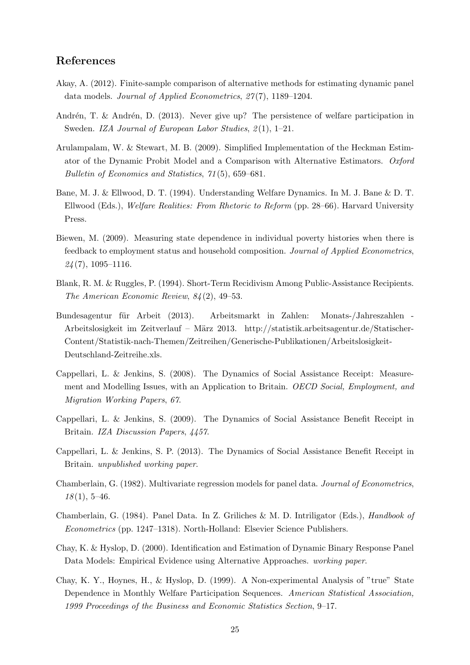# References

- Akay, A. (2012). Finite-sample comparison of alternative methods for estimating dynamic panel data models. *Journal of Applied Econometrics*,  $27(7)$ , 1189–1204.
- Andrén, T. & Andrén, D. (2013). Never give up? The persistence of welfare participation in Sweden. IZA Journal of European Labor Studies, 2(1), 1–21.
- Arulampalam, W. & Stewart, M. B. (2009). Simplified Implementation of the Heckman Estimator of the Dynamic Probit Model and a Comparison with Alternative Estimators. Oxford Bulletin of Economics and Statistics, 71 (5), 659–681.
- Bane, M. J. & Ellwood, D. T. (1994). Understanding Welfare Dynamics. In M. J. Bane & D. T. Ellwood (Eds.), Welfare Realities: From Rhetoric to Reform (pp. 28–66). Harvard University Press.
- Biewen, M. (2009). Measuring state dependence in individual poverty histories when there is feedback to employment status and household composition. Journal of Applied Econometrics,  $24(7)$ , 1095-1116.
- Blank, R. M. & Ruggles, P. (1994). Short-Term Recidivism Among Public-Assistance Recipients. The American Economic Review, 84 (2), 49–53.
- Bundesagentur für Arbeit (2013). Arbeitsmarkt in Zahlen: Monats-/Jahreszahlen -Arbeitslosigkeit im Zeitverlauf – März 2013. http://statistik.arbeitsagentur.de/Statischer-Content/Statistik-nach-Themen/Zeitreihen/Generische-Publikationen/Arbeitslosigkeit-Deutschland-Zeitreihe.xls.
- Cappellari, L. & Jenkins, S. (2008). The Dynamics of Social Assistance Receipt: Measurement and Modelling Issues, with an Application to Britain. OECD Social, Employment, and Migration Working Papers, 67.
- Cappellari, L. & Jenkins, S. (2009). The Dynamics of Social Assistance Benefit Receipt in Britain. IZA Discussion Papers, 4457.
- Cappellari, L. & Jenkins, S. P. (2013). The Dynamics of Social Assistance Benefit Receipt in Britain. unpublished working paper.
- Chamberlain, G. (1982). Multivariate regression models for panel data. Journal of Econometrics,  $18(1), 5-46.$
- Chamberlain, G. (1984). Panel Data. In Z. Griliches & M. D. Intriligator (Eds.), Handbook of Econometrics (pp. 1247–1318). North-Holland: Elsevier Science Publishers.
- Chay, K. & Hyslop, D. (2000). Identification and Estimation of Dynamic Binary Response Panel Data Models: Empirical Evidence using Alternative Approaches. working paper.
- Chay, K. Y., Hoynes, H., & Hyslop, D. (1999). A Non-experimental Analysis of "true" State Dependence in Monthly Welfare Participation Sequences. American Statistical Association, 1999 Proceedings of the Business and Economic Statistics Section, 9–17.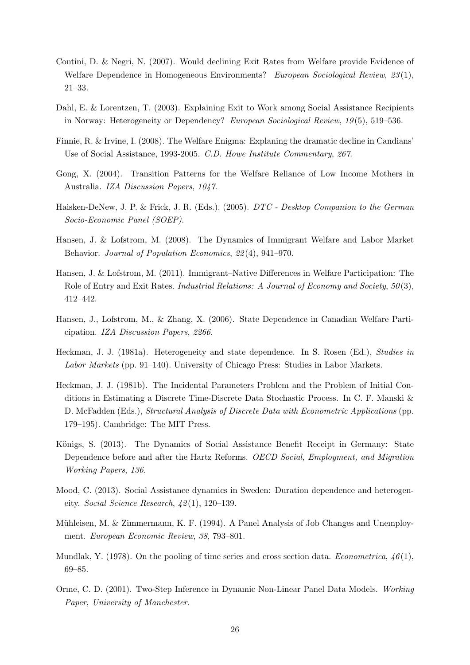- Contini, D. & Negri, N. (2007). Would declining Exit Rates from Welfare provide Evidence of Welfare Dependence in Homogeneous Environments? European Sociological Review, 23(1), 21–33.
- Dahl, E. & Lorentzen, T. (2003). Explaining Exit to Work among Social Assistance Recipients in Norway: Heterogeneity or Dependency? European Sociological Review, 19 (5), 519–536.
- Finnie, R. & Irvine, I. (2008). The Welfare Enigma: Explaning the dramatic decline in Candians' Use of Social Assistance, 1993-2005. C.D. Howe Institute Commentary, 267.
- Gong, X. (2004). Transition Patterns for the Welfare Reliance of Low Income Mothers in Australia. IZA Discussion Papers, 1047.
- Haisken-DeNew, J. P. & Frick, J. R. (Eds.). (2005). DTC Desktop Companion to the German Socio-Economic Panel (SOEP).
- Hansen, J. & Lofstrom, M. (2008). The Dynamics of Immigrant Welfare and Labor Market Behavior. Journal of Population Economics, 22 (4), 941–970.
- Hansen, J. & Lofstrom, M. (2011). Immigrant–Native Differences in Welfare Participation: The Role of Entry and Exit Rates. *Industrial Relations: A Journal of Economy and Society, 50(3)*, 412–442.
- Hansen, J., Lofstrom, M., & Zhang, X. (2006). State Dependence in Canadian Welfare Participation. IZA Discussion Papers, 2266.
- Heckman, J. J. (1981a). Heterogeneity and state dependence. In S. Rosen (Ed.), Studies in Labor Markets (pp. 91–140). University of Chicago Press: Studies in Labor Markets.
- Heckman, J. J. (1981b). The Incidental Parameters Problem and the Problem of Initial Conditions in Estimating a Discrete Time-Discrete Data Stochastic Process. In C. F. Manski & D. McFadden (Eds.), Structural Analysis of Discrete Data with Econometric Applications (pp. 179–195). Cambridge: The MIT Press.
- Königs, S. (2013). The Dynamics of Social Assistance Benefit Receipt in Germany: State Dependence before and after the Hartz Reforms. OECD Social, Employment, and Migration Working Papers, 136.
- Mood, C. (2013). Social Assistance dynamics in Sweden: Duration dependence and heterogeneity. Social Science Research, 42 (1), 120–139.
- Mühleisen, M. & Zimmermann, K. F. (1994). A Panel Analysis of Job Changes and Unemployment. European Economic Review, 38, 793–801.
- Mundlak, Y. (1978). On the pooling of time series and cross section data. *Econometrica*,  $46(1)$ , 69–85.
- Orme, C. D. (2001). Two-Step Inference in Dynamic Non-Linear Panel Data Models. Working Paper, University of Manchester.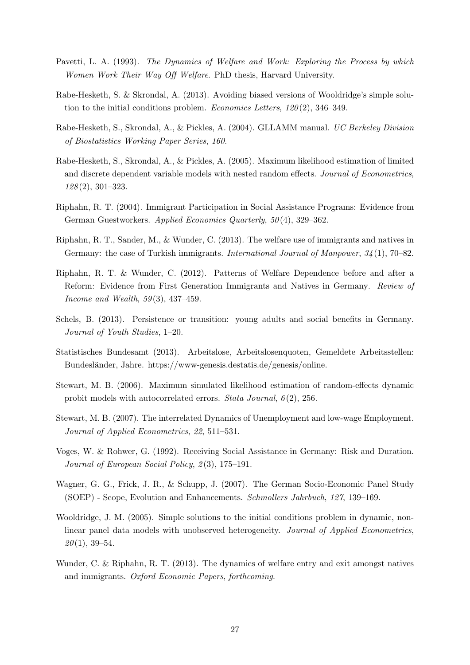- Pavetti, L. A. (1993). The Dynamics of Welfare and Work: Exploring the Process by which Women Work Their Way Off Welfare. PhD thesis, Harvard University.
- Rabe-Hesketh, S. & Skrondal, A. (2013). Avoiding biased versions of Wooldridge's simple solution to the initial conditions problem. Economics Letters,  $120(2)$ ,  $346-349$ .
- Rabe-Hesketh, S., Skrondal, A., & Pickles, A. (2004). GLLAMM manual. UC Berkeley Division of Biostatistics Working Paper Series, 160.
- Rabe-Hesketh, S., Skrondal, A., & Pickles, A. (2005). Maximum likelihood estimation of limited and discrete dependent variable models with nested random effects. Journal of Econometrics, 128 (2), 301–323.
- Riphahn, R. T. (2004). Immigrant Participation in Social Assistance Programs: Evidence from German Guestworkers. Applied Economics Quarterly, 50 (4), 329–362.
- Riphahn, R. T., Sander, M., & Wunder, C. (2013). The welfare use of immigrants and natives in Germany: the case of Turkish immigrants. International Journal of Manpower, 34 (1), 70–82.
- Riphahn, R. T. & Wunder, C. (2012). Patterns of Welfare Dependence before and after a Reform: Evidence from First Generation Immigrants and Natives in Germany. Review of Income and Wealth,  $59(3)$ ,  $437-459$ .
- Schels, B. (2013). Persistence or transition: young adults and social benefits in Germany. Journal of Youth Studies, 1–20.
- Statistisches Bundesamt (2013). Arbeitslose, Arbeitslosenquoten, Gemeldete Arbeitsstellen: Bundesl¨ander, Jahre. https://www-genesis.destatis.de/genesis/online.
- Stewart, M. B. (2006). Maximum simulated likelihood estimation of random-effects dynamic probit models with autocorrelated errors. Stata Journal,  $6(2)$ , 256.
- Stewart, M. B. (2007). The interrelated Dynamics of Unemployment and low-wage Employment. Journal of Applied Econometrics, 22, 511–531.
- Voges, W. & Rohwer, G. (1992). Receiving Social Assistance in Germany: Risk and Duration. Journal of European Social Policy, 2(3), 175-191.
- Wagner, G. G., Frick, J. R., & Schupp, J. (2007). The German Socio-Economic Panel Study (SOEP) - Scope, Evolution and Enhancements. Schmollers Jahrbuch, 127, 139–169.
- Wooldridge, J. M. (2005). Simple solutions to the initial conditions problem in dynamic, nonlinear panel data models with unobserved heterogeneity. Journal of Applied Econometrics,  $20(1), 39-54.$
- Wunder, C. & Riphahn, R. T. (2013). The dynamics of welfare entry and exit amongst natives and immigrants. Oxford Economic Papers, forthcoming.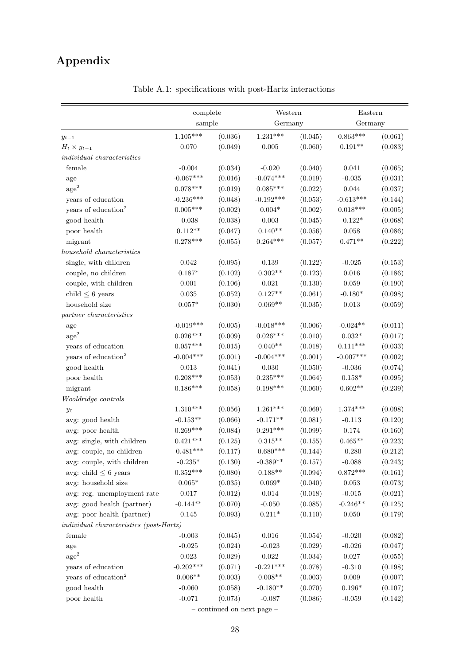# Appendix

|                                                | complete        |         | Western            |         | Eastern        |         |
|------------------------------------------------|-----------------|---------|--------------------|---------|----------------|---------|
|                                                | sample          |         | Germany            |         | Germany        |         |
| $y_{t-1}$                                      | $1.105***$      | (0.036) | $1.231***$         | (0.045) | $0.863***$     | (0.061) |
| $H_t \times y_{t-1}$                           | 0.070           | (0.049) | $0.005\,$          | (0.060) | $0.191**$      | (0.083) |
| <i>individual characteristics</i>              |                 |         |                    |         |                |         |
| female                                         | $-0.004$        | (0.034) | $-0.020$           | (0.040) | 0.041          | (0.065) |
| age                                            | $-0.067***$     | (0.016) | $-0.074***$        | (0.019) | $-0.035$       | (0.031) |
| $\mathrm{age}^2$                               | $0.078***$      | (0.019) | $0.085***$         | (0.022) | $\,0.044\,$    | (0.037) |
| years of education                             | $-0.236***$     | (0.048) | $-0.192***$        | (0.053) | $-0.613***$    | (0.144) |
| years of education <sup>2</sup>                | $0.005***$      | (0.002) | $0.004*$           | (0.002) | $0.018***$     | (0.005) |
| good health                                    | $\text{-}0.038$ | (0.038) | $\,0.003\,$        | (0.045) | $-0.122*$      | (0.068) |
| poor health                                    | $0.112**$       | (0.047) | $0.140**$          | (0.056) | $0.058\,$      | (0.086) |
| migrant                                        | $0.278***$      | (0.055) | $0.264***$         | (0.057) | $0.471**$      | (0.222) |
| household characteristics                      |                 |         |                    |         |                |         |
| single, with children                          | 0.042           | (0.095) | 0.139              | (0.122) | $-0.025$       | (0.153) |
| couple, no children                            | $0.187*$        | (0.102) | $0.302**$          | (0.123) | $0.016\,$      | (0.186) |
| couple, with children                          | 0.001           | (0.106) | 0.021              | (0.130) | $\,0.059\,$    | (0.190) |
| child $\leq$ 6 years                           | $\,0.035\,$     | (0.052) | $0.127**$          | (0.061) | $-0.180*$      | (0.098) |
| household size                                 | $0.057*$        | (0.030) | $0.069**$          | (0.035) | $\,0.013\,$    | (0.059) |
| partner characteristics                        |                 |         |                    |         |                |         |
| age                                            | $-0.019***$     | (0.005) | $-0.018***$        | (0.006) | $-0.024**$     | (0.011) |
| $\mathrm{age}^2$                               | $0.026***$      | (0.009) | $0.026***$         | (0.010) | $0.032*$       | (0.017) |
| years of education                             | $0.057***$      | (0.015) | $0.040^{\ast\ast}$ | (0.018) | $0.111***$     | (0.033) |
| years of education <sup>2</sup>                | $-0.004***$     | (0.001) | $-0.004***$        | (0.001) | $-0.007***$    | (0.002) |
| good health                                    | $\,0.013\,$     | (0.041) | 0.030              | (0.050) | $-0.036$       | (0.074) |
| poor health                                    | $0.208***$      | (0.053) | $0.235***$         | (0.064) | $0.158^{\ast}$ | (0.095) |
| migrant                                        | $0.186***$      | (0.058) | $0.198***$         | (0.060) | $0.602**$      | (0.239) |
| Wooldridge controls                            |                 |         |                    |         |                |         |
| $y_0$                                          | $1.310***$      | (0.056) | $1.261***$         | (0.069) | $1.374***$     | (0.098) |
| avg: good health                               | $-0.153**$      | (0.066) | $-0.171**$         | (0.081) | $-0.113$       | (0.120) |
| avg: poor health                               | $0.269***$      | (0.084) | $0.291***$         | (0.099) | $0.174\,$      | (0.160) |
| avg: single, with children                     | $0.421***$      | (0.125) | $0.315**$          | (0.155) | $0.465**$      | (0.223) |
| avg: couple, no children                       | $-0.481***$     | (0.117) | $-0.680***$        | (0.144) | $-0.280$       | (0.212) |
| avg: couple, with children                     | $-0.235*$       | (0.130) | $-0.389**$         | (0.157) | $-0.088$       | (0.243) |
| avg: child $\leq$ 6 years                      | $0.352***$      | (0.080) | $0.188**$          | (0.094) | $0.872***$     | (0.161) |
| avg: household size                            | $0.065*$        | (0.035) | $0.069*$           | (0.040) | 0.053          | (0.073) |
| avg: reg. unemployment rate                    | $0.017\,$       | (0.012) | $\,0.014\,$        | (0.018) | $-0.015$       | (0.021) |
| avg: good health (partner)                     | $-0.144**$      | (0.070) | $-0.050$           | (0.085) | $-0.246**$     | (0.125) |
| avg: poor health (partner)                     | 0.145           | (0.093) | $0.211*$           | (0.110) | 0.050          | (0.179) |
| <i>individual characteristics (post-Hartz)</i> |                 |         |                    |         |                |         |
| female                                         | $-0.003$        | (0.045) | $0.016\,$          | (0.054) | $-0.020$       | (0.082) |
| age                                            | $-0.025$        | (0.024) | $-0.023$           | (0.029) | $-0.026$       | (0.047) |
| $\mathrm{age}^2$                               | $\,0.023\,$     | (0.029) | $0.022\,$          | (0.034) | $0.027\,$      | (0.055) |
| years of education                             | $-0.202***$     | (0.071) | $-0.221***$        | (0.078) | $-0.310$       | (0.198) |
| years of education <sup>2</sup>                | $0.006**$       | (0.003) | $0.008**$          | (0.003) | $0.009\,$      | (0.007) |
| good health                                    | $-0.060$        | (0.058) | $-0.180**$         | (0.070) | $0.196*$       | (0.107) |
| poor health                                    | $-0.071$        | (0.073) | $-0.087$           | (0.086) | $-0.059$       | (0.142) |

Table A.1: specifications with post-Hartz interactions

 $-$  continued on next page  $-$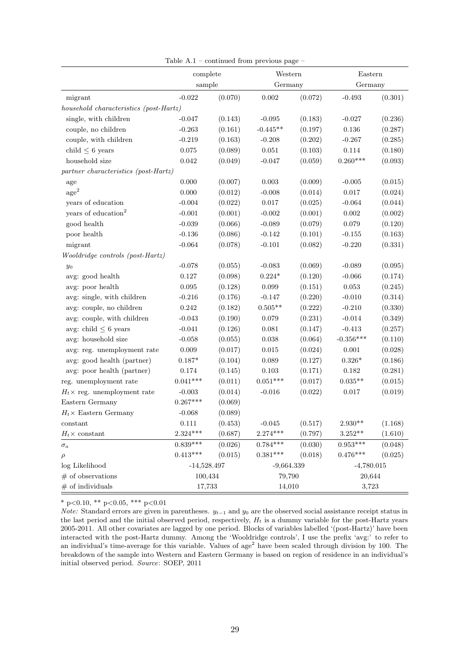|                                        | complete      |         | Western      |         | Eastern            |         |  |
|----------------------------------------|---------------|---------|--------------|---------|--------------------|---------|--|
|                                        | sample        |         | Germany      |         |                    | Germany |  |
| migrant                                | $-0.022$      | (0.070) | $0.002\,$    | (0.072) | $-0.493$           | (0.301) |  |
| household characteristics (post-Hartz) |               |         |              |         |                    |         |  |
| single, with children                  | $-0.047$      | (0.143) | $-0.095$     | (0.183) | $-0.027$           | (0.236) |  |
| couple, no children                    | $-0.263$      | (0.161) | $-0.445**$   | (0.197) | 0.136              | (0.287) |  |
| couple, with children                  | $-0.219$      | (0.163) | $-0.208$     | (0.202) | $-0.267$           | (0.285) |  |
| child $\leq$ 6 years                   | $0.075\,$     | (0.089) | $0.051\,$    | (0.103) | 0.114              | (0.180) |  |
| household size                         | $\,0.042\,$   | (0.049) | $-0.047$     | (0.059) | $0.260***$         | (0.093) |  |
| partner characteristics (post-Hartz)   |               |         |              |         |                    |         |  |
| age                                    | 0.000         | (0.007) | 0.003        | (0.009) | $-0.005$           | (0.015) |  |
| $\mathrm{age}^2$                       | $0.000\,$     | (0.012) | $-0.008$     | (0.014) | $0.017\,$          | (0.024) |  |
| years of education                     | $-0.004$      | (0.022) | $0.017\,$    | (0.025) | $-0.064$           | (0.044) |  |
| years of education <sup>2</sup>        | $-0.001$      | (0.001) | $-0.002$     | (0.001) | 0.002              | (0.002) |  |
| good health                            | $-0.039$      | (0.066) | $-0.089$     | (0.079) | 0.079              | (0.120) |  |
| poor health                            | $-0.136$      | (0.086) | $-0.142$     | (0.101) | $-0.155$           | (0.163) |  |
| migrant                                | $-0.064$      | (0.078) | $-0.101$     | (0.082) | $-0.220$           | (0.331) |  |
| Wooldridge controls (post-Hartz)       |               |         |              |         |                    |         |  |
| $y_0$                                  | $-0.078$      | (0.055) | $-0.083$     | (0.069) | $-0.089$           | (0.095) |  |
| avg: good health                       | $0.127\,$     | (0.098) | $0.224*$     | (0.120) | $-0.066$           | (0.174) |  |
| avg: poor health                       | $\,0.095\,$   | (0.128) | 0.099        | (0.151) | $\,0.053\,$        | (0.245) |  |
| avg: single, with children             | $-0.216$      | (0.176) | $-0.147$     | (0.220) | $-0.010$           | (0.314) |  |
| avg: couple, no children               | 0.242         | (0.182) | $0.505**$    | (0.222) | $-0.210$           | (0.330) |  |
| avg: couple, with children             | $-0.043$      | (0.190) | $\,0.079\,$  | (0.231) | $-0.014$           | (0.349) |  |
| avg: child $\leq$ 6 years              | $-0.041$      | (0.126) | 0.081        | (0.147) | $-0.413$           | (0.257) |  |
| avg: household size                    | $-0.058$      | (0.055) | $\,0.038\,$  | (0.064) | $-0.356***$        | (0.110) |  |
| avg: reg. unemployment rate            | 0.009         | (0.017) | $\,0.015\,$  | (0.024) | $0.001\,$          | (0.028) |  |
| avg: good health (partner)             | $0.187*$      | (0.104) | $\,0.089\,$  | (0.127) | $0.326*$           | (0.186) |  |
| avg: poor health (partner)             | 0.174         | (0.145) | $0.103\,$    | (0.171) | $0.182\,$          | (0.281) |  |
| reg. unemployment rate                 | $0.041***$    | (0.011) | $0.051***$   | (0.017) | $0.035^{\ast\ast}$ | (0.015) |  |
| $H_t \times$ reg. unemployment rate    | $-0.003$      | (0.014) | $-0.016$     | (0.022) | $0.017\,$          | (0.019) |  |
| Eastern Germany                        | $0.267***$    | (0.069) |              |         |                    |         |  |
| $H_t \times$ Eastern Germany           | $-0.068$      | (0.089) |              |         |                    |         |  |
| constant                               | $0.111\,$     | (0.453) | $-0.045$     | (0.517) | $2.930**$          | (1.168) |  |
| $H_t \times$ constant                  | $2.324***$    | (0.687) | $2.274***$   | (0.797) | $3.252**$          | (1.610) |  |
| $\sigma_a$                             | $0.839***$    | (0.026) | $0.784***$   | (0.030) | $0.953***$         | (0.048) |  |
| $\rho$                                 | $0.413***$    | (0.015) | $0.381***$   | (0.018) | $0.476***$         | (0.025) |  |
| log Likelihood                         | $-14,528.497$ |         | $-9,664.339$ |         | $-4,780.015$       |         |  |
| $#$ of observations                    | 100,434       |         | 79,790       |         | 20,644             |         |  |
| $#$ of individuals                     |               | 17,733  |              | 14,010  |                    | 3,723   |  |

Table A.1 – continued from previous page –

\* p<0.10, \*\* p<0.05, \*\*\* p<0.01

Note: Standard errors are given in parentheses.  $y_{t-1}$  and  $y_0$  are the observed social assistance receipt status in the last period and the initial observed period, respectively,  $H_t$  is a dummy variable for the post-Hartz years 2005-2011. All other covariates are lagged by one period. Blocks of variables labelled '(post-Hartz)' have been interacted with the post-Hartz dummy. Among the 'Wooldridge controls', I use the prefix 'avg:' to refer to an individual's time-average for this variable. Values of age<sup>2</sup> have been scaled through division by 100. The breakdown of the sample into Western and Eastern Germany is based on region of residence in an individual's initial observed period. Source: SOEP, 2011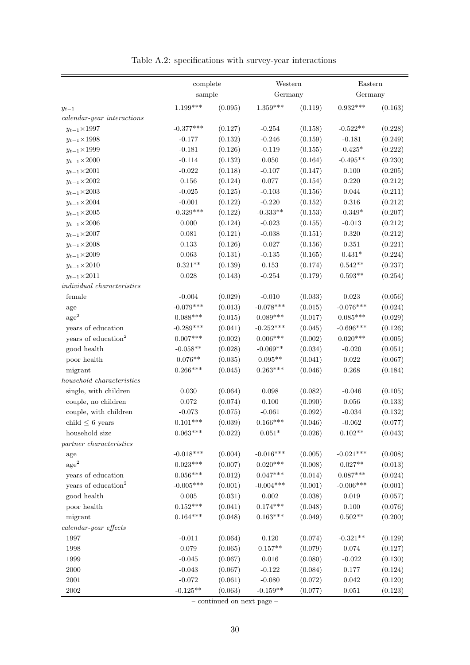|                                  | complete<br>sample |         | Western        |         | Eastern            |         |
|----------------------------------|--------------------|---------|----------------|---------|--------------------|---------|
|                                  |                    |         | Germany        |         | Germany            |         |
| $y_{t-1}$                        | $1.199***$         | (0.095) | $1.359***$     | (0.119) | $0.932***$         | (0.163) |
| $\emph{calar-year interactions}$ |                    |         |                |         |                    |         |
| $y_{t-1} \times 1997$            | $-0.377***$        | (0.127) | $-0.254$       | (0.158) | $-0.522**$         | (0.228) |
| $y_{t-1}{\times}1998$            | $-0.177$           | (0.132) | $-0.246$       | (0.159) | $-0.181$           | (0.249) |
| $y_{t-1} \times 1999$            | $-0.181$           | (0.126) | $-0.119$       | (0.155) | $-0.425*$          | (0.222) |
| $y_{t-1} \times 2000$            | $-0.114$           | (0.132) | 0.050          | (0.164) | $-0.495**$         | (0.230) |
| $y_{t-1}{\times}2001$            | $-0.022$           | (0.118) | $-0.107$       | (0.147) | 0.100              | (0.205) |
| $y_{t-1} \times 2002$            | 0.156              | (0.124) | 0.077          | (0.154) | 0.220              | (0.212) |
| $y_{t-1} \times 2003$            | $-0.025$           | (0.125) | $-0.103$       | (0.156) | 0.044              | (0.211) |
| $y_{t-1} \times 2004$            | $-0.001$           | (0.122) | $-0.220$       | (0.152) | 0.316              | (0.212) |
| $y_{t-1}{\times}2005$            | $-0.329***$        | (0.122) | $-0.333**$     | (0.153) | $-0.349*$          | (0.207) |
| $y_{t-1}{\times}2006$            | $0.000\,$          | (0.124) | $-0.023$       | (0.155) | $-0.013$           | (0.212) |
| $y_{t-1}{\times}2007$            | 0.081              | (0.121) | $-0.038$       | (0.151) | 0.320              | (0.212) |
| $y_{t-1} \times 2008$            | 0.133              | (0.126) | $-0.027$       | (0.156) | $0.351\,$          | (0.221) |
| $y_{t-1}{\times}2009$            | 0.063              | (0.131) | $-0.135$       | (0.165) | $0.431*$           | (0.224) |
| $y_{t-1} \times 2010$            | $0.321**$          | (0.139) | $\,0.153\,$    | (0.174) | $0.542**$          | (0.237) |
| $y_{t-1} \times 2011$            | $0.028\,$          | (0.143) | $-0.254$       | (0.179) | $0.593**$          | (0.254) |
| $individual$ characteristics     |                    |         |                |         |                    |         |
| female                           | $-0.004$           | (0.029) | $-0.010$       | (0.033) | $\,0.023\,$        | (0.056) |
| age                              | $-0.079***$        | (0.013) | $-0.078***$    | (0.015) | $-0.076***$        | (0.024) |
| $\rm{age}^2$                     | $0.088***$         | (0.015) | $0.089***$     | (0.017) | $0.085***$         | (0.029) |
| years of education               | $-0.289***$        | (0.041) | $-0.252***$    | (0.045) | $-0.696***$        | (0.126) |
| years of education <sup>2</sup>  | $0.007***$         | (0.002) | $0.006***$     | (0.002) | $0.020***$         | (0.005) |
| good health                      | $-0.058**$         | (0.028) | $-0.069**$     | (0.034) | $-0.020$           | (0.051) |
| poor health                      | $0.076**$          | (0.035) | $0.095**$      | (0.041) | $\,0.022\,$        | (0.067) |
| migrant                          | $0.266***$         | (0.045) | $0.263***$     | (0.046) | 0.268              | (0.184) |
| $household$ characteristics      |                    |         |                |         |                    |         |
| single, with children            | $0.030\,$          | (0.064) | 0.098          | (0.082) | $-0.046$           | (0.105) |
| couple, no children              | $0.072\,$          | (0.074) | 0.100          | (0.090) | 0.056              | (0.133) |
| couple, with children            | $-0.073$           | (0.075) | $-0.061$       | (0.092) | $-0.034$           | (0.132) |
| child $\leq$ 6 years             | $0.101***$         | (0.039) | $0.166***$     | (0.046) | $-0.062$           | (0.077) |
| household size                   | $0.063***$         | (0.022) | $0.051^{\ast}$ | (0.026) | $0.102**$          | (0.043) |
| partner characteristics          |                    |         |                |         |                    |         |
| age                              | $-0.018***$        | (0.004) | $-0.016***$    | (0.005) | $-0.021***$        | (0.008) |
| $\rm{age}^2$                     | $0.023***$         | (0.007) | $0.020***$     | (0.008) | $0.027^{\ast\ast}$ | (0.013) |
| years of education               | $0.056***$         | (0.012) | $0.047***$     | (0.014) | $0.087***$         | (0.024) |
| years of education <sup>2</sup>  | $-0.005***$        | (0.001) | $-0.004***$    | (0.001) | $-0.006***$        | (0.001) |
| good health                      | $0.005\,$          | (0.031) | $0.002\,$      | (0.038) | 0.019              | (0.057) |
| poor health                      | $0.152***$         | (0.041) | $0.174***$     | (0.048) | 0.100              | (0.076) |
| migrant                          | $0.164***$         | (0.048) | $0.163***$     | (0.049) | $0.502**$          | (0.200) |
| $\emph{calardar-year effects}$   |                    |         |                |         |                    |         |
| 1997                             | $-0.011$           | (0.064) | $0.120\,$      | (0.074) | $-0.321**$         | (0.129) |
| 1998                             | $0.079\,$          | (0.065) | $0.157**$      | (0.079) | 0.074              | (0.127) |
| 1999                             | $-0.045$           | (0.067) | 0.016          | (0.080) | $-0.022$           | (0.130) |
| $2000\,$                         | $-0.043$           | (0.067) | $-0.122$       | (0.084) | $0.177\,$          | (0.124) |
| $2001\,$                         | $-0.072$           | (0.061) | $-0.080$       | (0.072) | 0.042              | (0.120) |
| $2002\,$                         | $-0.125**$         | (0.063) | $-0.159**$     | (0.077) | $\,0.051\,$        | (0.123) |

Table A.2: specifications with survey-year interactions

 $-$  continued on next page  $-$